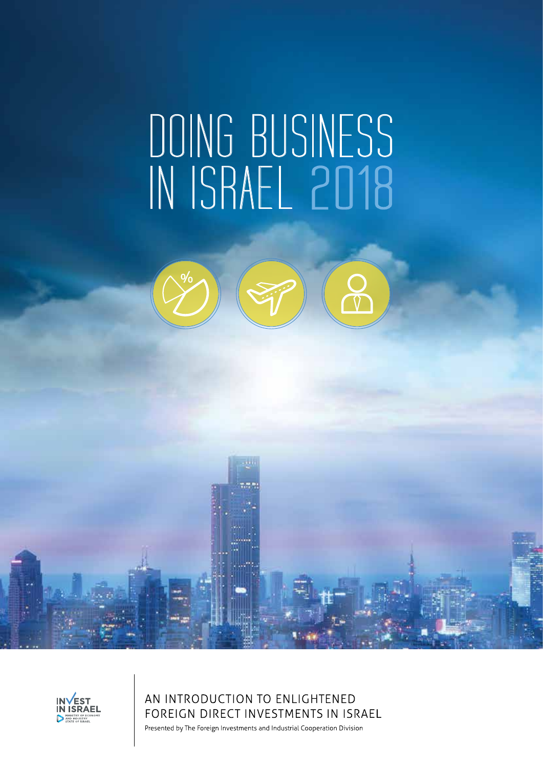# DOING BUSINESS IN ISRAEL 2018



aatii



AN INTRODUCTION TO ENLIGHTENED FOREIGN DIRECT INVESTMENTS IN ISRAEL

Presented by The Foreign Investments and Industrial Cooperation Division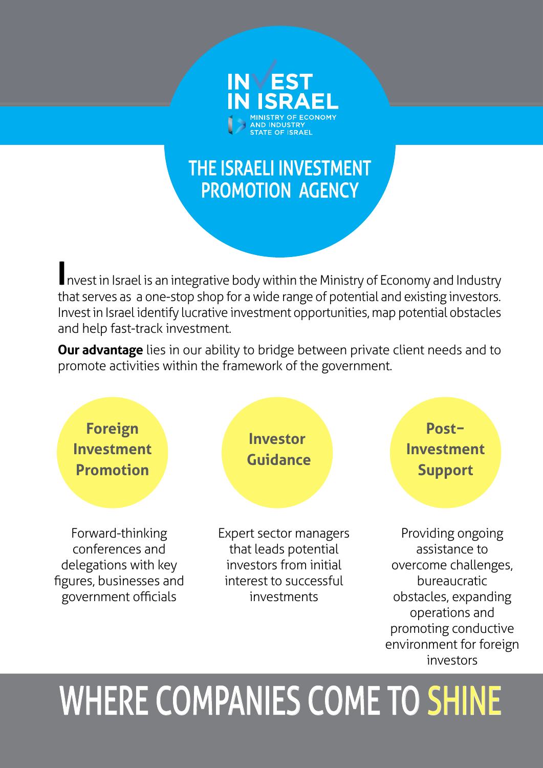

# THE ISRAELI INVESTMENT PROMOTION AGENCY

**I**nvest in Israel is an integrative body within the Ministry of Economy and Industry that serves as a one-stop shop for a wide range of potential and existing investors. Invest in Israel identify lucrative investment opportunities, map potential obstacles and help fast-track investment.

**Our advantage** lies in our ability to bridge between private client needs and to promote activities within the framework of the government.



# WHERE COMPANIES COME TO SHINE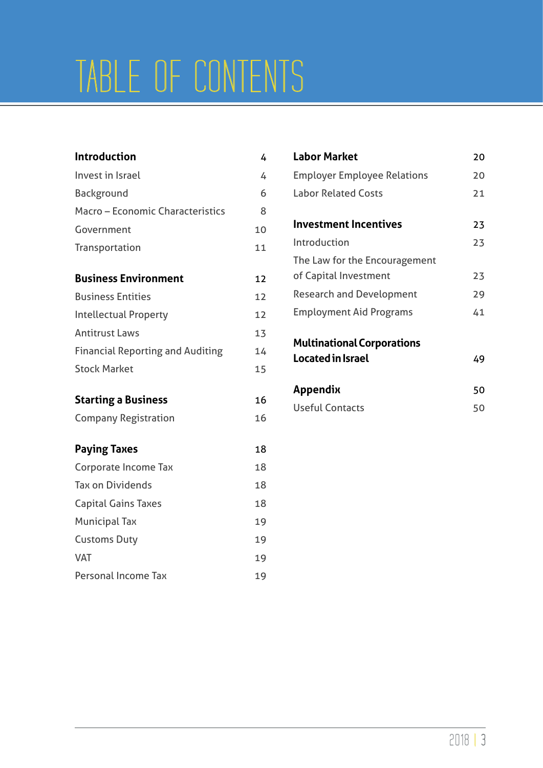# TABLE OF CONTENTS

| <b>Introduction</b>                     | 4  |
|-----------------------------------------|----|
| Invest in Israel                        | 4  |
| Background                              | 6  |
| Macro - Economic Characteristics        | 8  |
| Government                              | 10 |
| Transportation                          | 11 |
| <b>Business Environment</b>             | 12 |
| <b>Business Entities</b>                | 12 |
| <b>Intellectual Property</b>            | 12 |
| <b>Antitrust Laws</b>                   | 13 |
| <b>Financial Reporting and Auditing</b> | 14 |
| <b>Stock Market</b>                     | 15 |
| <b>Starting a Business</b>              | 16 |
| <b>Company Registration</b>             | 16 |
| <b>Paying Taxes</b>                     | 18 |
| Corporate Income Tax                    | 18 |
| <b>Tax on Dividends</b>                 | 18 |
| <b>Capital Gains Taxes</b>              | 18 |
| <b>Municipal Tax</b>                    | 19 |
| <b>Customs Duty</b>                     | 19 |
| <b>VAT</b>                              | 19 |
| Personal Income Tax                     | 19 |

| <b>Labor Market</b>                | 20 |
|------------------------------------|----|
| <b>Employer Employee Relations</b> | 20 |
| <b>Labor Related Costs</b>         | 21 |
| Investment Incentives              | 23 |
| Introduction                       | 23 |
| The Law for the Encouragement      |    |
| of Capital Investment              | 23 |
| <b>Research and Development</b>    | 29 |
| <b>Employment Aid Programs</b>     | 41 |
| <b>Multinational Corporations</b>  |    |
| Located in Israel                  | 49 |
| Appendix                           | 50 |
| <b>Useful Contacts</b>             | 50 |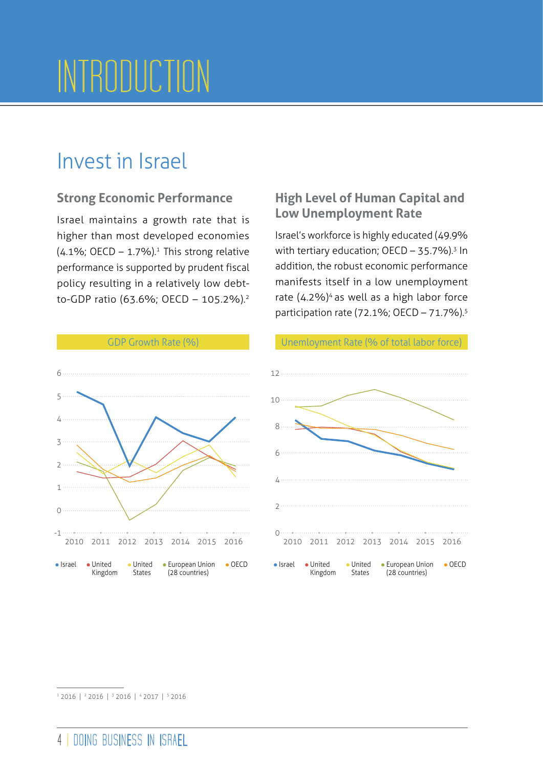# INTRODUCTION

# Invest in Israel

# **Strong Economic Performance**

Israel maintains a growth rate that is higher than most developed economies  $(4.1\%;$  OECD - 1.7%).<sup>1</sup> This strong relative performance is supported by prudent fiscal policy resulting in a relatively low debtto-GDP ratio (63.6%; OECD – 105.2%).2

# **High Level of Human Capital and Low Unemployment Rate**

Israel's workforce is highly educated (49.9% with tertiary education;  $OECD - 35.7\%$ ).<sup>3</sup> In addition, the robust economic performance manifests itself in a low unemployment rate  $(4.2\%)$ <sup>4</sup> as well as a high labor force participation rate (72.1%; OECD – 71.7%).5





<sup>1 2016 | 2 2016 | 3 2016 | 4 2017 | 5 2016</sup>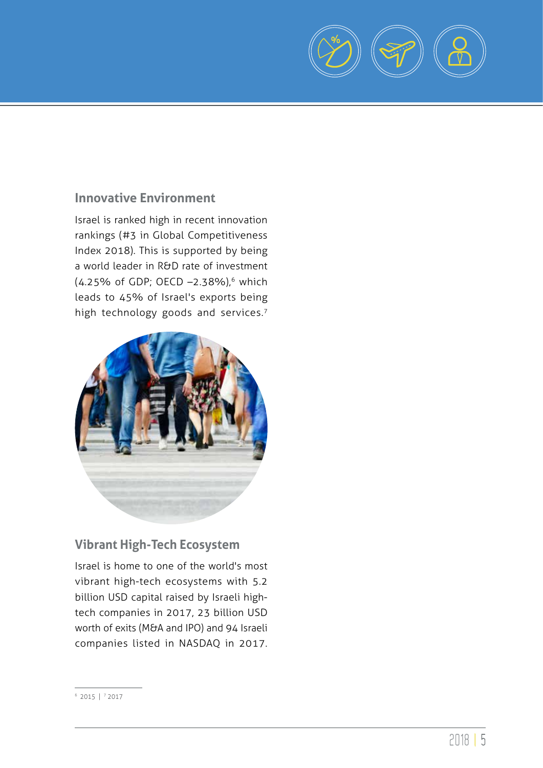

# **Innovative Environment**

Israel is ranked high in recent innovation rankings (#3 in Global Competitiveness Index 2018). This is supported by being a world leader in R&D rate of investment  $(4.25\% \text{ of GDP}; \text{OECD} - 2.38\%),$ <sup>6</sup> which leads to 45% of Israel's exports being high technology goods and services.<sup>7</sup>



# **Vibrant High-Tech Ecosystem**

Israel is home to one of the world's most vibrant high-tech ecosystems with 5.2 billion USD capital raised by Israeli hightech companies in 2017, 23 billion USD worth of exits (M&A and IPO) and 94 Israeli companies listed in NASDAQ in 2017.

 $6$  2015 |  $7$  2017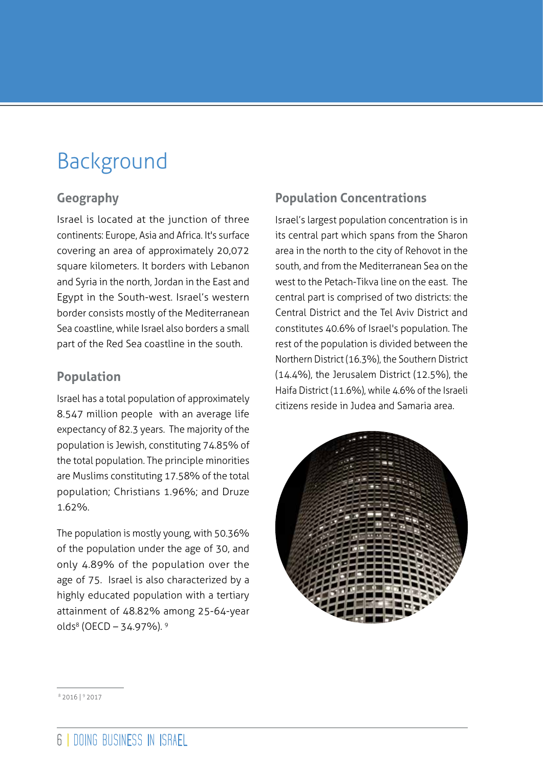# Background

# **Geography**

Israel is located at the junction of three continents: Europe, Asia and Africa. It's surface covering an area of approximately 20,072 square kilometers. It borders with Lebanon and Syria in the north, Jordan in the East and Egypt in the South-west. Israel's western border consists mostly of the Mediterranean Sea coastline, while Israel also borders a small part of the Red Sea coastline in the south.

# **Population**

Israel has a total population of approximately 8.547 million people with an average life expectancy of 82.3 years. The majority of the population is Jewish, constituting 74.85% of the total population. The principle minorities are Muslims constituting 17.58% of the total population; Christians 1.96%; and Druze 1.62%.

The population is mostly young, with 50.36% of the population under the age of 30, and only 4.89% of the population over the age of 75. Israel is also characterized by a highly educated population with a tertiary attainment of 48.82% among 25-64-year olds<sup>8</sup> (OECD – 34.97%). 9

# **Population Concentrations**

Israel's largest population concentration is in its central part which spans from the Sharon area in the north to the city of Rehovot in the south, and from the Mediterranean Sea on the west to the Petach-Tikva line on the east. The central part is comprised of two districts: the Central District and the Tel Aviv District and constitutes 40.6% of Israel's population. The rest of the population is divided between the Northern District (16.3%), the Southern District (14.4%), the Jerusalem District (12.5%), the Haifa District (11.6%), while 4.6% of the Israeli citizens reside in Judea and Samaria area.



8 2016 | 9 2017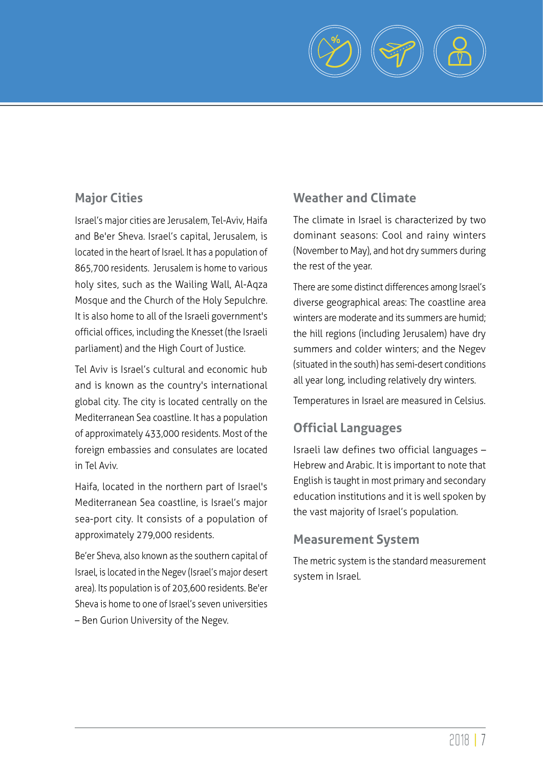

# **Major Cities**

Israel's major cities are Jerusalem, Tel-Aviv, Haifa and Be'er Sheva. Israel's capital, Jerusalem, is located in the heart of Israel. It has a population of 865,700 residents. Jerusalem is home to various holy sites, such as the Wailing Wall, Al-Aqza Mosque and the Church of the Holy Sepulchre. It is also home to all of the Israeli government's official offices, including the Knesset (the Israeli parliament) and the High Court of Justice.

Tel Aviv is Israel's cultural and economic hub and is known as the country's international global city. The city is located centrally on the Mediterranean Sea coastline. It has a population of approximately 433,000 residents. Most of the foreign embassies and consulates are located in Tel Aviv.

Haifa, located in the northern part of Israel's Mediterranean Sea coastline, is Israel's major sea-port city. It consists of a population of approximately 279,000 residents.

Be'er Sheva, also known as the southern capital of Israel, is located in the Negev (Israel's major desert area). Its population is of 203,600 residents. Be'er Sheva is home to one of Israel's seven universities – Ben Gurion University of the Negev.

# **Weather and Climate**

The climate in Israel is characterized by two dominant seasons: Cool and rainy winters (November to May), and hot dry summers during the rest of the year.

There are some distinct differences among Israel's diverse geographical areas: The coastline area winters are moderate and its summers are humid; the hill regions (including Jerusalem) have dry summers and colder winters; and the Negev (situated in the south) has semi-desert conditions all year long, including relatively dry winters.

Temperatures in Israel are measured in Celsius.

# **Official Languages**

Israeli law defines two official languages – Hebrew and Arabic. It is important to note that English is taught in most primary and secondary education institutions and it is well spoken by the vast majority of Israel's population.

# **Measurement System**

The metric system is the standard measurement system in Israel.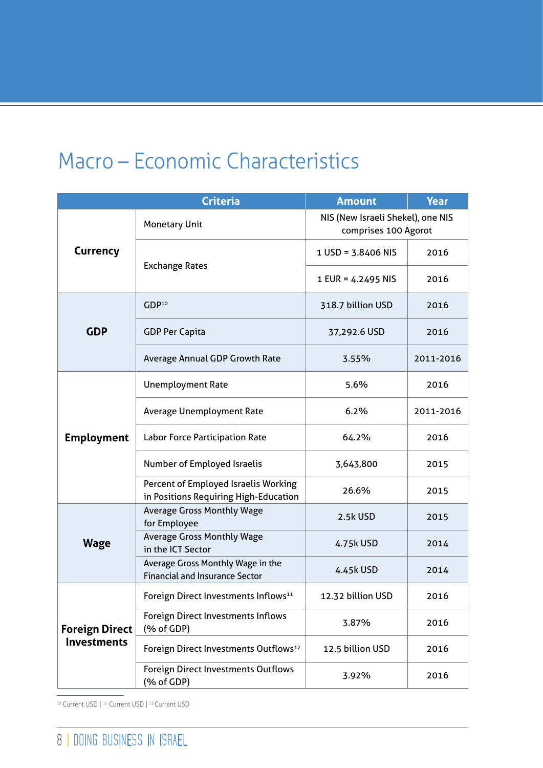# Macro – Economic Characteristics

|                                             | <b>Criteria</b>                                                               | <b>Amount</b>                                             | <b>Year</b> |
|---------------------------------------------|-------------------------------------------------------------------------------|-----------------------------------------------------------|-------------|
|                                             | <b>Monetary Unit</b>                                                          | NIS (New Israeli Shekel), one NIS<br>comprises 100 Agorot |             |
| <b>Currency</b>                             | <b>Exchange Rates</b>                                                         | 1 USD = 3.8406 NIS                                        | 2016        |
|                                             |                                                                               | 1 EUR = 4.2495 NIS                                        | 2016        |
|                                             | GDP <sup>10</sup>                                                             | 318.7 billion USD                                         | 2016        |
| <b>GDP</b>                                  | <b>GDP Per Capita</b>                                                         | 37,292.6 USD                                              | 2016        |
|                                             | Average Annual GDP Growth Rate                                                | 3.55%                                                     | 2011-2016   |
|                                             | <b>Unemployment Rate</b>                                                      | 5.6%                                                      | 2016        |
| <b>Employment</b>                           | Average Unemployment Rate                                                     | 6.2%                                                      | 2011-2016   |
|                                             | <b>Labor Force Participation Rate</b>                                         | 64.2%                                                     | 2016        |
|                                             | Number of Employed Israelis                                                   | 3,643,800                                                 | 2015        |
|                                             | Percent of Employed Israelis Working<br>in Positions Requiring High-Education | 26.6%                                                     | 2015        |
|                                             | <b>Average Gross Monthly Wage</b><br>for Employee                             | 2.5k USD                                                  | 2015        |
| <b>Wage</b>                                 | <b>Average Gross Monthly Wage</b><br>4.75k USD<br>in the ICT Sector           |                                                           | 2014        |
|                                             | Average Gross Monthly Wage in the<br><b>Financial and Insurance Sector</b>    | 4.45k USD                                                 | 2014        |
| <b>Foreign Direct</b><br><b>Investments</b> | Foreign Direct Investments Inflows <sup>11</sup>                              | 12.32 billion USD                                         | 2016        |
|                                             | <b>Foreign Direct Investments Inflows</b><br>(% of GDP)                       | 3.87%                                                     | 2016        |
|                                             | Foreign Direct Investments Outflows <sup>12</sup>                             | 12.5 billion USD                                          | 2016        |
|                                             | <b>Foreign Direct Investments Outflows</b><br>(% of GDP)                      | 3.92%                                                     | 2016        |

<sup>10</sup> Current USD | <sup>11</sup> Current USD | <sup>12</sup> Current USD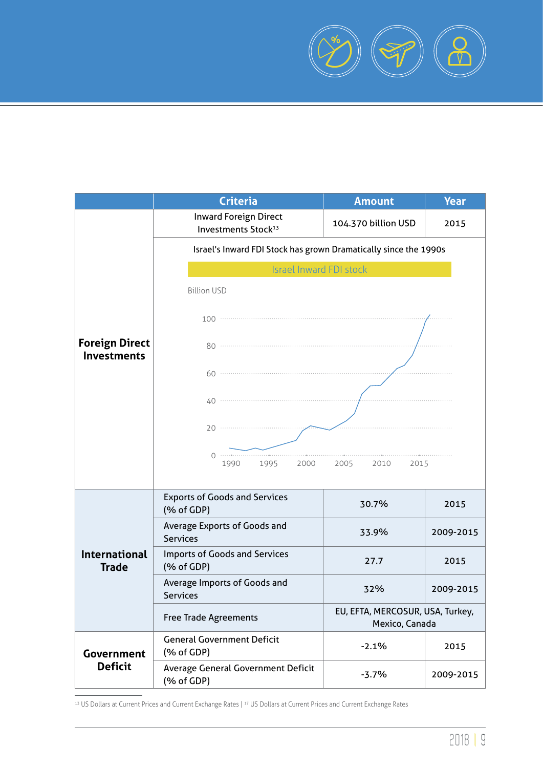

|                                                               | <b>Criteria</b>                                                                               | <b>Amount</b>     | <b>Year</b> |
|---------------------------------------------------------------|-----------------------------------------------------------------------------------------------|-------------------|-------------|
|                                                               | <b>Inward Foreign Direct</b><br>104.370 billion USD<br><b>Investments Stock</b> <sup>13</sup> |                   | 2015        |
|                                                               | Israel's Inward FDI Stock has grown Dramatically since the 1990s                              |                   |             |
|                                                               | <b>Israel Inward FDI stock</b>                                                                |                   |             |
|                                                               | <b>Billion USD</b>                                                                            |                   |             |
|                                                               | $100$ $\cdots$                                                                                |                   |             |
| <b>Foreign Direct</b><br><b>Investments</b>                   |                                                                                               |                   |             |
|                                                               |                                                                                               |                   |             |
|                                                               | 40                                                                                            |                   |             |
|                                                               |                                                                                               |                   |             |
|                                                               | 1990<br>1995<br>2000                                                                          | 2005 2010<br>2015 |             |
|                                                               | <b>Exports of Goods and Services</b><br>(% of GDP)                                            | 30.7%             | 2015        |
|                                                               | <b>Average Exports of Goods and</b><br><b>Services</b>                                        | 33.9%             | 2009-2015   |
| <b>International</b><br><b>Trade</b>                          | <b>Imports of Goods and Services</b><br>(% of GDP)                                            | 27.7              | 2015        |
|                                                               | Average Imports of Goods and<br><b>Services</b>                                               | 32%               | 2009-2015   |
|                                                               | EU, EFTA, MERCOSUR, USA, Turkey,<br><b>Free Trade Agreements</b><br>Mexico, Canada            |                   |             |
| <b>General Government Deficit</b><br>(% of GDP)<br>Government |                                                                                               | $-2.1%$           | 2015        |
| <b>Deficit</b>                                                | Average General Government Deficit<br>(% of GDP)                                              | $-3.7%$           | 2009-2015   |

13 US Dollars at Current Prices and Current Exchange Rates | 17 US Dollars at Current Prices and Current Exchange Rates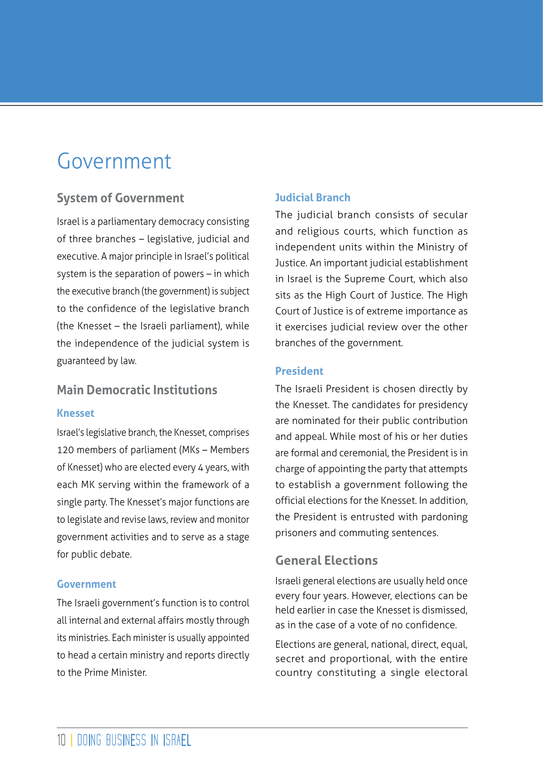# Government

# **System of Government**

Israel is a parliamentary democracy consisting of three branches – legislative, judicial and executive. A major principle in Israel's political system is the separation of powers – in which the executive branch (the government) is subject to the confidence of the legislative branch (the Knesset – the Israeli parliament), while the independence of the judicial system is guaranteed by law.

## **Main Democratic Institutions**

#### **Knesset**

Israel's legislative branch, the Knesset, comprises 120 members of parliament (MKs – Members of Knesset) who are elected every 4 years, with each MK serving within the framework of a single party. The Knesset's major functions are to legislate and revise laws, review and monitor government activities and to serve as a stage for public debate.

#### **Government**

The Israeli government's function is to control all internal and external affairs mostly through its ministries. Each minister is usually appointed to head a certain ministry and reports directly to the Prime Minister.

## **Judicial Branch**

The judicial branch consists of secular and religious courts, which function as independent units within the Ministry of Justice. An important judicial establishment in Israel is the Supreme Court, which also sits as the High Court of Justice. The High Court of Justice is of extreme importance as it exercises judicial review over the other branches of the government.

#### **President**

The Israeli President is chosen directly by the Knesset. The candidates for presidency are nominated for their public contribution and appeal. While most of his or her duties are formal and ceremonial, the President is in charge of appointing the party that attempts to establish a government following the official elections for the Knesset. In addition, the President is entrusted with pardoning prisoners and commuting sentences.

# **General Elections**

Israeli general elections are usually held once every four years. However, elections can be held earlier in case the Knesset is dismissed, as in the case of a vote of no confidence.

Elections are general, national, direct, equal, secret and proportional, with the entire country constituting a single electoral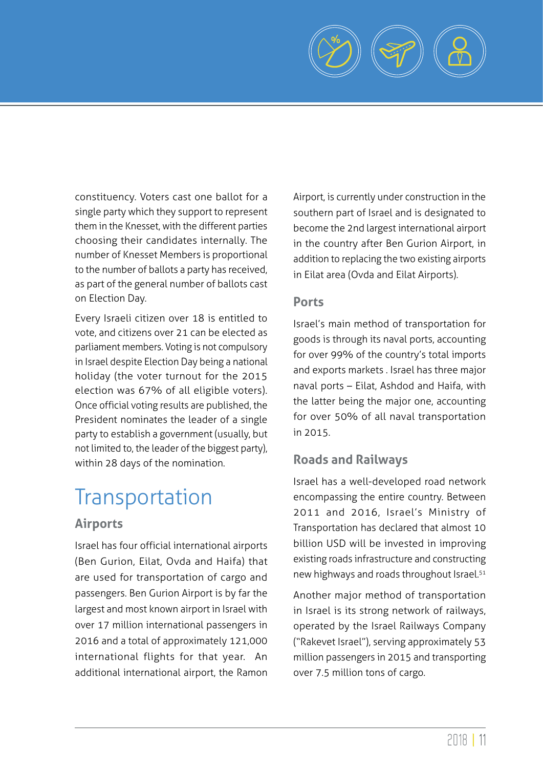

constituency. Voters cast one ballot for a single party which they support to represent them in the Knesset, with the different parties choosing their candidates internally. The number of Knesset Members is proportional to the number of ballots a party has received, as part of the general number of ballots cast on Election Day.

Every Israeli citizen over 18 is entitled to vote, and citizens over 21 can be elected as parliament members. Voting is not compulsory in Israel despite Election Day being a national holiday (the voter turnout for the 2015 election was 67% of all eligible voters). Once official voting results are published, the President nominates the leader of a single party to establish a government (usually, but not limited to, the leader of the biggest party), within 28 days of the nomination.

# **Transportation**

# **Airports**

Israel has four official international airports (Ben Gurion, Eilat, Ovda and Haifa) that are used for transportation of cargo and passengers. Ben Gurion Airport is by far the largest and most known airport in Israel with over 17 million international passengers in 2016 and a total of approximately 121,000 international flights for that year. An additional international airport, the Ramon

Airport, is currently under construction in the southern part of Israel and is designated to become the 2nd largest international airport in the country after Ben Gurion Airport, in addition to replacing the two existing airports in Eilat area (Ovda and Eilat Airports).

#### **Ports**

Israel's main method of transportation for goods is through its naval ports, accounting for over 99% of the country's total imports and exports markets . Israel has three major naval ports – Eilat, Ashdod and Haifa, with the latter being the major one, accounting for over 50% of all naval transportation in 2015.

# **Roads and Railways**

Israel has a well-developed road network encompassing the entire country. Between 2011 and 2016, Israel's Ministry of Transportation has declared that almost 10 billion USD will be invested in improving existing roads infrastructure and constructing new highways and roads throughout Israel.<sup>51</sup>

Another major method of transportation in Israel is its strong network of railways, operated by the Israel Railways Company ("Rakevet Israel"), serving approximately 53 million passengers in 2015 and transporting over 7.5 million tons of cargo.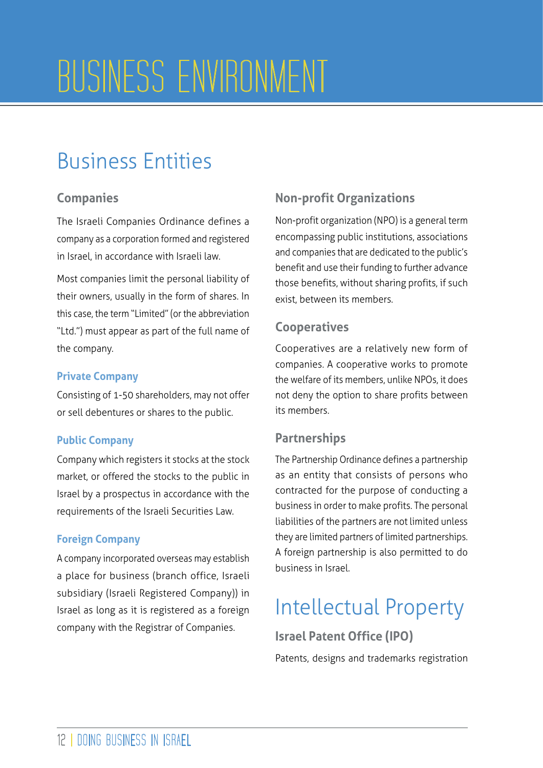# BUSINESS ENVIRONMENT

# Business Entities

# **Companies**

The Israeli Companies Ordinance defines a company as a corporation formed and registered in Israel, in accordance with Israeli law.

Most companies limit the personal liability of their owners, usually in the form of shares. In this case, the term "Limited" (or the abbreviation "Ltd.") must appear as part of the full name of the company.

# **Private Company**

Consisting of 1-50 shareholders, may not offer or sell debentures or shares to the public.

## **Public Company**

Company which registers it stocks at the stock market, or offered the stocks to the public in Israel by a prospectus in accordance with the requirements of the Israeli Securities Law.

# **Foreign Company**

A company incorporated overseas may establish a place for business (branch office, Israeli subsidiary (Israeli Registered Company)) in Israel as long as it is registered as a foreign company with the Registrar of Companies.

# **Non-profit Organizations**

Non-profit organization (NPO) is a general term encompassing public institutions, associations and companies that are dedicated to the public's benefit and use their funding to further advance those benefits, without sharing profits, if such exist, between its members.

# **Cooperatives**

Cooperatives are a relatively new form of companies. A cooperative works to promote the welfare of its members, unlike NPOs, it does not deny the option to share profits between its members.

# **Partnerships**

The Partnership Ordinance defines a partnership as an entity that consists of persons who contracted for the purpose of conducting a business in order to make profits. The personal liabilities of the partners are not limited unless they are limited partners of limited partnerships. A foreign partnership is also permitted to do business in Israel.

# Intellectual Property

**Israel Patent Office (IPO)**

Patents, designs and trademarks registration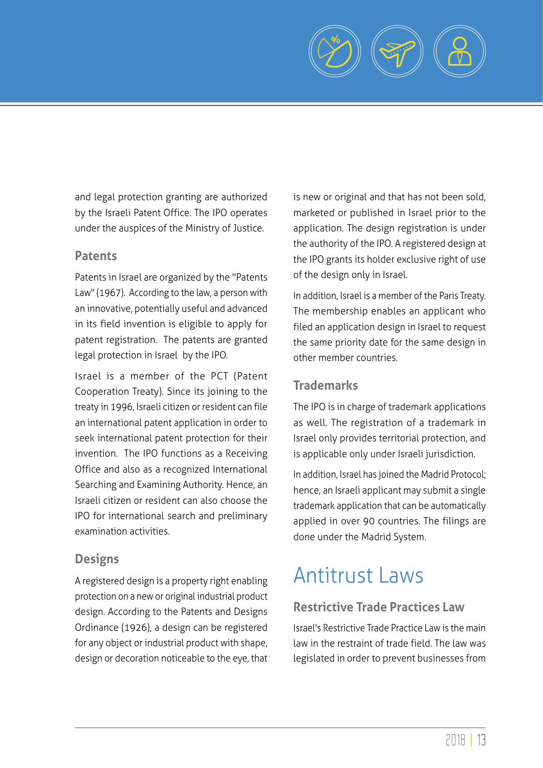

and legal protection granting are authorized by the Israeli Patent Office. The IPO operates under the auspices of the Ministry of Justice.

## **Patents**

Patents in Israel are organized by the "Patents Law" (1967). According to the law, a person with an innovative, potentially useful and advanced in its field invention is eligible to apply for patent registration. The patents are granted legal protection in Israel by the IPO.

Israel is a member of the PCT (Patent Cooperation Treaty). Since its joining to the treaty in 1996, Israeli citizen or resident can file an international patent application in order to seek international patent protection for their invention. The IPO functions as a Receiving Office and also as a recognized International Searching and Examining Authority. Hence, an Israeli citizen or resident can also choose the IPO for international search and preliminary examination activities.

# **Designs**

A registered design is a property right enabling protection on a new or original industrial product design. According to the Patents and Designs Ordinance (1926), a design can be registered for any object or industrial product with shape, design or decoration noticeable to the eye, that is new or original and that has not been sold, marketed or published in Israel prior to the application. The design registration is under the authority of the IPO. A registered design at the IPO grants its holder exclusive right of use of the design only in Israel.

In addition, Israel is a member of the Paris Treaty. The membership enables an applicant who filed an application design in Israel to request the same priority date for the same design in other member countries.

# **Trademarks**

The IPO is in charge of trademark applications as well. The registration of a trademark in Israel only provides territorial protection, and is applicable only under Israeli jurisdiction.

In addition, Israel has joined the Madrid Protocol; hence, an Israeli applicant may submit a single trademark application that can be automatically applied in over 90 countries. The filings are done under the Madrid System.

# Antitrust Laws

# **Restrictive Trade Practices Law**

Israel's Restrictive Trade Practice Law is the main law in the restraint of trade field. The law was legislated in order to prevent businesses from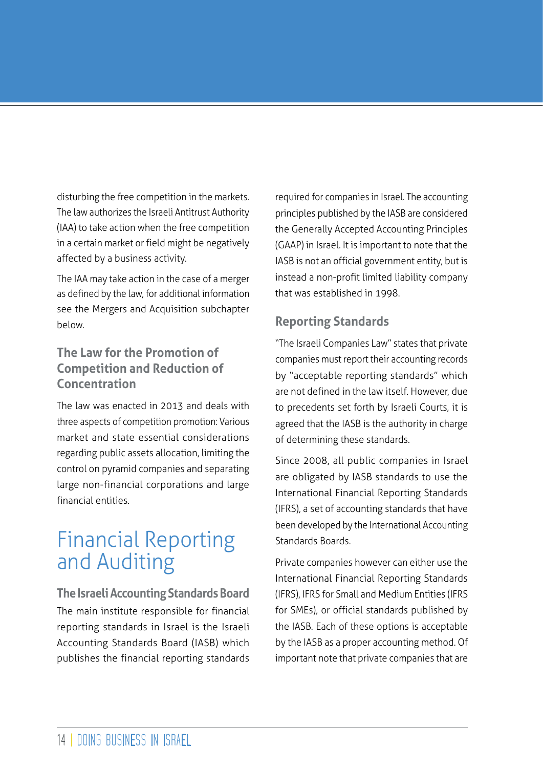disturbing the free competition in the markets. The law authorizes the Israeli Antitrust Authority (IAA) to take action when the free competition in a certain market or field might be negatively affected by a business activity.

The IAA may take action in the case of a merger as defined by the law, for additional information see the Mergers and Acquisition subchapter below.

# **The Law for the Promotion of Competition and Reduction of Concentration**

The law was enacted in 2013 and deals with three aspects of competition promotion: Various market and state essential considerations regarding public assets allocation, limiting the control on pyramid companies and separating large non-financial corporations and large financial entities.

# Financial Reporting and Auditing

**The Israeli Accounting Standards Board** The main institute responsible for financial reporting standards in Israel is the Israeli Accounting Standards Board (IASB) which publishes the financial reporting standards

required for companies in Israel. The accounting principles published by the IASB are considered the Generally Accepted Accounting Principles (GAAP) in Israel. It is important to note that the IASB is not an official government entity, but is instead a non-profit limited liability company that was established in 1998.

# **Reporting Standards**

"The Israeli Companies Law" states that private companies must report their accounting records by "acceptable reporting standards" which are not defined in the law itself. However, due to precedents set forth by Israeli Courts, it is agreed that the IASB is the authority in charge of determining these standards.

Since 2008, all public companies in Israel are obligated by IASB standards to use the International Financial Reporting Standards (IFRS), a set of accounting standards that have been developed by the International Accounting Standards Boards.

Private companies however can either use the International Financial Reporting Standards (IFRS), IFRS for Small and Medium Entities (IFRS for SMEs), or official standards published by the IASB. Each of these options is acceptable by the IASB as a proper accounting method. Of important note that private companies that are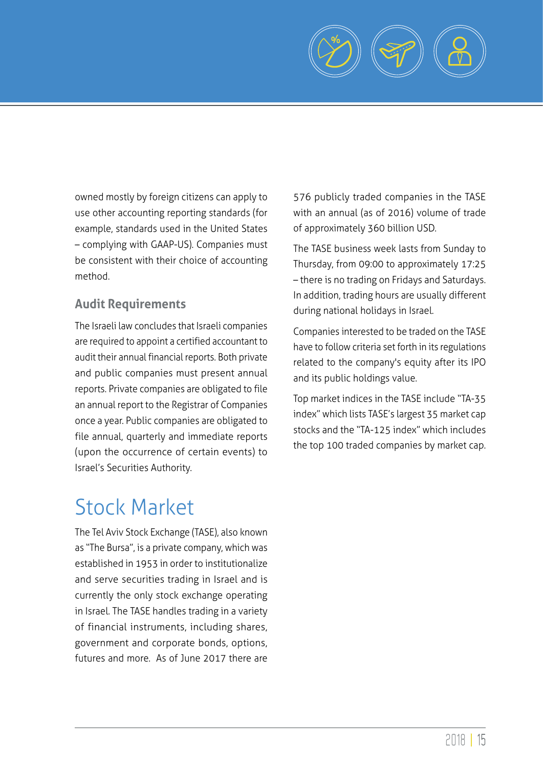

owned mostly by foreign citizens can apply to use other accounting reporting standards (for example, standards used in the United States – complying with GAAP-US). Companies must be consistent with their choice of accounting method.

# **Audit Requirements**

The Israeli law concludes that Israeli companies are required to appoint a certified accountant to audit their annual financial reports. Both private and public companies must present annual reports. Private companies are obligated to file an annual report to the Registrar of Companies once a year. Public companies are obligated to file annual, quarterly and immediate reports (upon the occurrence of certain events) to Israel's Securities Authority.

# Stock Market

The Tel Aviv Stock Exchange (TASE), also known as "The Bursa", is a private company, which was established in 1953 in order to institutionalize and serve securities trading in Israel and is currently the only stock exchange operating in Israel. The TASE handles trading in a variety of financial instruments, including shares, government and corporate bonds, options, futures and more. As of June 2017 there are

576 publicly traded companies in the TASE with an annual (as of 2016) volume of trade of approximately 360 billion USD.

The TASE business week lasts from Sunday to Thursday, from 09:00 to approximately 17:25 – there is no trading on Fridays and Saturdays. In addition, trading hours are usually different during national holidays in Israel.

Companies interested to be traded on the TASE have to follow criteria set forth in its regulations related to the company's equity after its IPO and its public holdings value.

Top market indices in the TASE include "TA-35 index" which lists TASE's largest 35 market cap stocks and the "TA-125 index" which includes the top 100 traded companies by market cap.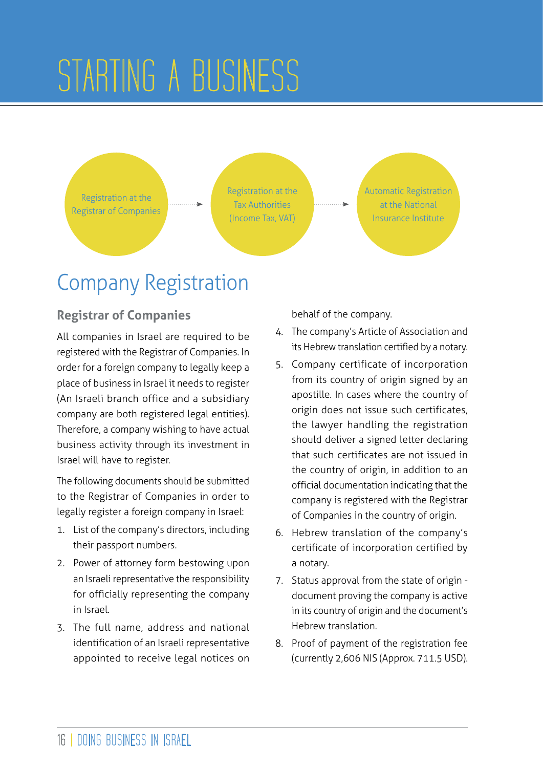# STARTING A BUSINESS

Registration at the Registrar of Companies Registration at the Tax Authorities (Income Tax, VAT)

Automatic Registration at the National Insurance Institute

# Company Registration

# **Registrar of Companies**

All companies in Israel are required to be registered with the Registrar of Companies. In order for a foreign company to legally keep a place of business in Israel it needs to register (An Israeli branch office and a subsidiary company are both registered legal entities). Therefore, a company wishing to have actual business activity through its investment in Israel will have to register.

The following documents should be submitted to the Registrar of Companies in order to legally register a foreign company in Israel:

- 1. List of the company's directors, including their passport numbers.
- 2. Power of attorney form bestowing upon an Israeli representative the responsibility for officially representing the company in Israel.
- 3. The full name, address and national identification of an Israeli representative appointed to receive legal notices on

behalf of the company.

- 4. The company's Article of Association and its Hebrew translation certified by a notary.
- 5. Company certificate of incorporation from its country of origin signed by an apostille. In cases where the country of origin does not issue such certificates, the lawyer handling the registration should deliver a signed letter declaring that such certificates are not issued in the country of origin, in addition to an official documentation indicating that the company is registered with the Registrar of Companies in the country of origin.
- 6. Hebrew translation of the company's certificate of incorporation certified by a notary.
- 7. Status approval from the state of origin document proving the company is active in its country of origin and the document's Hebrew translation.
- 8. Proof of payment of the registration fee (currently 2,606 NIS (Approx. 711.5 USD).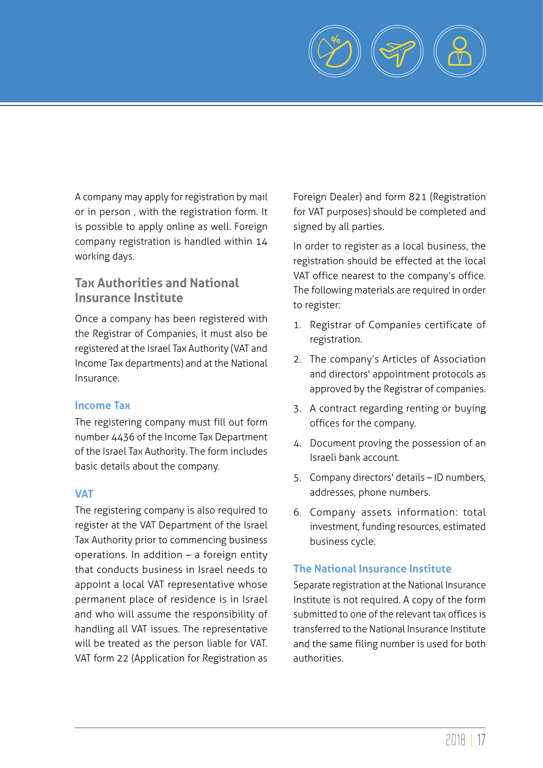

A company may apply for registration by mail or in person , with the registration form. It is possible to apply online as well. Foreign company registration is handled within 14 working days.

# **Tax Authorities and National Insurance Institute**

Once a company has been registered with the Registrar of Companies, it must also be registered at the Israel Tax Authority (VAT and Income Tax departments) and at the National Insurance.

#### **Income Tax**

The registering company must fill out form number 4436 of the Income Tax Department of the Israel Tax Authority. The form includes basic details about the company.

#### **VAT**

The registering company is also required to register at the VAT Department of the Israel Tax Authority prior to commencing business operations. In addition – a foreign entity that conducts business in Israel needs to appoint a local VAT representative whose permanent place of residence is in Israel and who will assume the responsibility of handling all VAT issues. The representative will be treated as the person liable for VAT. VAT form 22 (Application for Registration as

Foreign Dealer) and form 821 (Registration for VAT purposes) should be completed and signed by all parties.

In order to register as a local business, the registration should be effected at the local VAT office nearest to the company's office. The following materials are required in order to register:

- 1. Registrar of Companies certificate of registration.
- 2. The company's Articles of Association and directors' appointment protocols as approved by the Registrar of companies.
- 3. A contract regarding renting or buying offices for the company.
- 4. Document proving the possession of an Israeli bank account.
- 5. Company directors' details ID numbers, addresses, phone numbers.
- 6. Company assets information: total investment, funding resources, estimated business cycle.

## **The National Insurance Institute**

Separate registration at the National Insurance Institute is not required. A copy of the form submitted to one of the relevant tax offices is transferred to the National Insurance Institute and the same filing number is used for both authorities.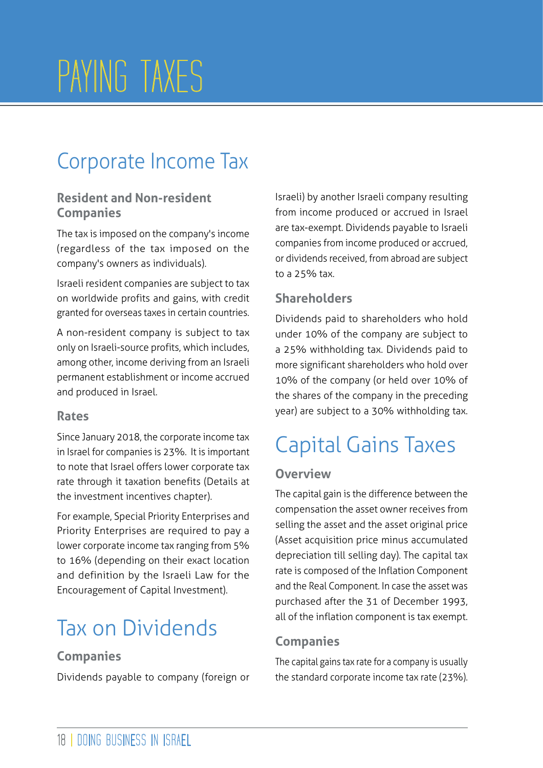# PAYING TAXES

# Corporate Income Tax

# **Resident and Non-resident Companies**

The tax is imposed on the company's income (regardless of the tax imposed on the company's owners as individuals).

Israeli resident companies are subject to tax on worldwide profits and gains, with credit granted for overseas taxes in certain countries.

A non-resident company is subject to tax only on Israeli-source profits, which includes, among other, income deriving from an Israeli permanent establishment or income accrued and produced in Israel.

## **Rates**

Since January 2018, the corporate income tax in Israel for companies is 23%. It is important to note that Israel offers lower corporate tax rate through it taxation benefits (Details at the investment incentives chapter).

For example, Special Priority Enterprises and Priority Enterprises are required to pay a lower corporate income tax ranging from 5% to 16% (depending on their exact location and definition by the Israeli Law for the Encouragement of Capital Investment).

# Tax on Dividends

# **Companies**

Dividends payable to company (foreign or

Israeli) by another Israeli company resulting from income produced or accrued in Israel are tax-exempt. Dividends payable to Israeli companies from income produced or accrued, or dividends received, from abroad are subject to a 25% tax.

# **Shareholders**

Dividends paid to shareholders who hold under 10% of the company are subject to a 25% withholding tax. Dividends paid to more significant shareholders who hold over 10% of the company (or held over 10% of the shares of the company in the preceding year) are subject to a 30% withholding tax.

# Capital Gains Taxes

# **Overview**

The capital gain is the difference between the compensation the asset owner receives from selling the asset and the asset original price (Asset acquisition price minus accumulated depreciation till selling day). The capital tax rate is composed of the Inflation Component and the Real Component. In case the asset was purchased after the 31 of December 1993, all of the inflation component is tax exempt.

# **Companies**

The capital gains tax rate for a company is usually the standard corporate income tax rate (23%).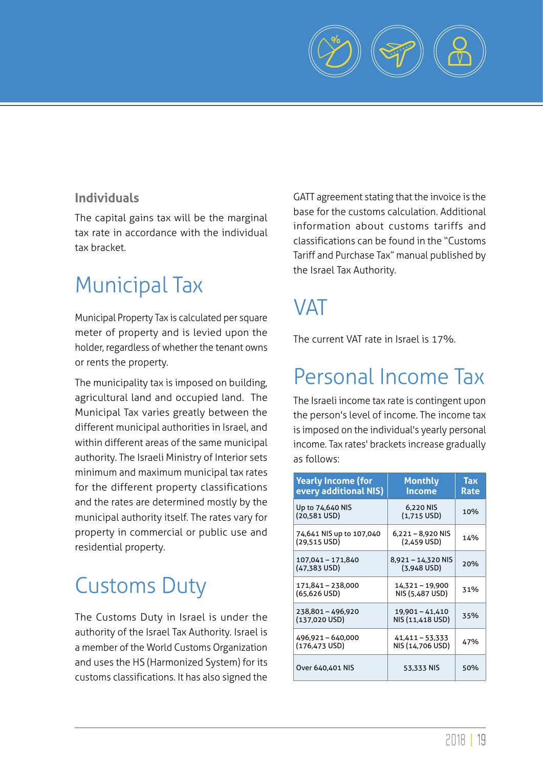

# **Individuals**

The capital gains tax will be the marginal tax rate in accordance with the individual tax bracket.

# Municipal Tax

Municipal Property Tax is calculated per square meter of property and is levied upon the holder, regardless of whether the tenant owns or rents the property.

The municipality tax is imposed on building, agricultural land and occupied land. The Municipal Tax varies greatly between the different municipal authorities in Israel, and within different areas of the same municipal authority. The Israeli Ministry of Interior sets minimum and maximum municipal tax rates for the different property classifications and the rates are determined mostly by the municipal authority itself. The rates vary for property in commercial or public use and residential property.

# Customs Duty

The Customs Duty in Israel is under the authority of the Israel Tax Authority. Israel is a member of the World Customs Organization and uses the HS (Harmonized System) for its customs classifications. It has also signed the GATT agreement stating that the invoice is the base for the customs calculation. Additional information about customs tariffs and classifications can be found in the "Customs Tariff and Purchase Tax" manual published by the Israel Tax Authority.

# **VAT**

The current VAT rate in Israel is 17%.

# Personal Income Tax

The Israeli income tax rate is contingent upon the person's level of income. The income tax is imposed on the individual's yearly personal income. Tax rates' brackets increase gradually as follows:

| <b>Yearly Income (for</b><br>every additional NIS) | <b>Monthly</b><br>Income             | Тах<br>Rate |
|----------------------------------------------------|--------------------------------------|-------------|
| Up to 74,640 NIS<br>$(20,581$ USD)                 | 6,220 NIS<br>$(1,715$ USD)           | 10%         |
| 74,641 NIS up to 107,040<br>$(29.515$ USD)         | $6,221 - 8,920$ NIS<br>$(2,459$ USD) | 14%         |
| 107,041 - 171,840<br>(47,383 USD)                  | 8,921 – 14,320 NIS<br>$(3.948$ USD)  | 20%         |
| 171,841 - 238,000<br>$(65, 626 \text{ USD})$       | 14,321 - 19,900<br>NIS (5,487 USD)   | 31%         |
| 238.801-496.920<br>$(137,020$ USD)                 | 19,901 - 41,410<br>NIS (11,418 USD)  | 35%         |
| 496,921-640,000<br>(176,473 USD)                   | 41,411 - 53,333<br>NIS (14,706 USD)  | 47%         |
| Over 640,401 NIS                                   | 53,333 NIS                           | 50%         |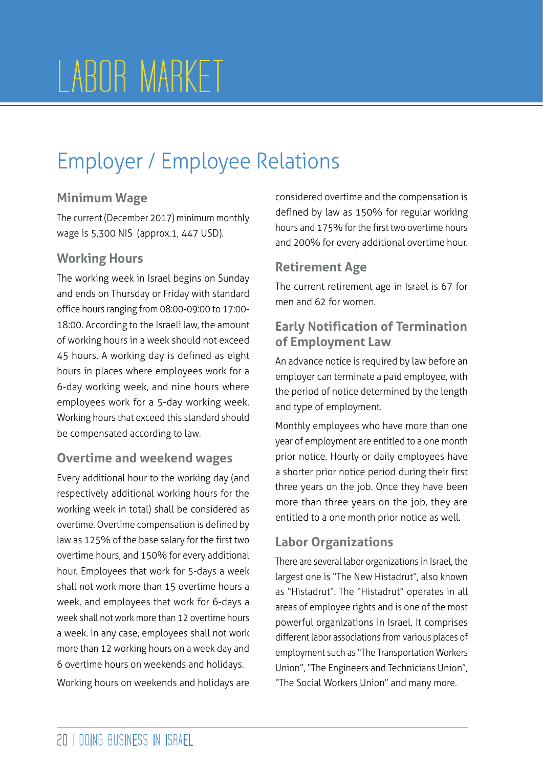# LABOR MARKET

# Employer / Employee Relations

# **Minimum Wage**

The current (December 2017) minimum monthly wage is 5,300 NIS (approx.1, 447 USD).

# **Working Hours**

The working week in Israel begins on Sunday and ends on Thursday or Friday with standard office hours ranging from 08:00-09:00 to 17:00- 18:00. According to the Israeli law, the amount of working hours in a week should not exceed 45 hours. A working day is defined as eight hours in places where employees work for a 6-day working week, and nine hours where employees work for a 5-day working week. Working hours that exceed this standard should be compensated according to law.

# **Overtime and weekend wages**

Every additional hour to the working day (and respectively additional working hours for the working week in total) shall be considered as overtime. Overtime compensation is defined by law as 125% of the base salary for the first two overtime hours, and 150% for every additional hour. Employees that work for 5-days a week shall not work more than 15 overtime hours a week, and employees that work for 6-days a week shall not work more than 12 overtime hours a week. In any case, employees shall not work more than 12 working hours on a week day and 6 overtime hours on weekends and holidays.

Working hours on weekends and holidays are

considered overtime and the compensation is defined by law as 150% for regular working hours and 175% for the first two overtime hours and 200% for every additional overtime hour.

# **Retirement Age**

The current retirement age in Israel is 67 for men and 62 for women.

# **Early Notification of Termination of Employment Law**

An advance notice is required by law before an employer can terminate a paid employee, with the period of notice determined by the length and type of employment.

Monthly employees who have more than one year of employment are entitled to a one month prior notice. Hourly or daily employees have a shorter prior notice period during their first three years on the job. Once they have been more than three years on the job, they are entitled to a one month prior notice as well.

# **Labor Organizations**

There are several labor organizations in Israel, the largest one is "The New Histadrut", also known as "Histadrut". The "Histadrut" operates in all areas of employee rights and is one of the most powerful organizations in Israel. It comprises different labor associations from various places of employment such as "The Transportation Workers Union", "The Engineers and Technicians Union", "The Social Workers Union" and many more.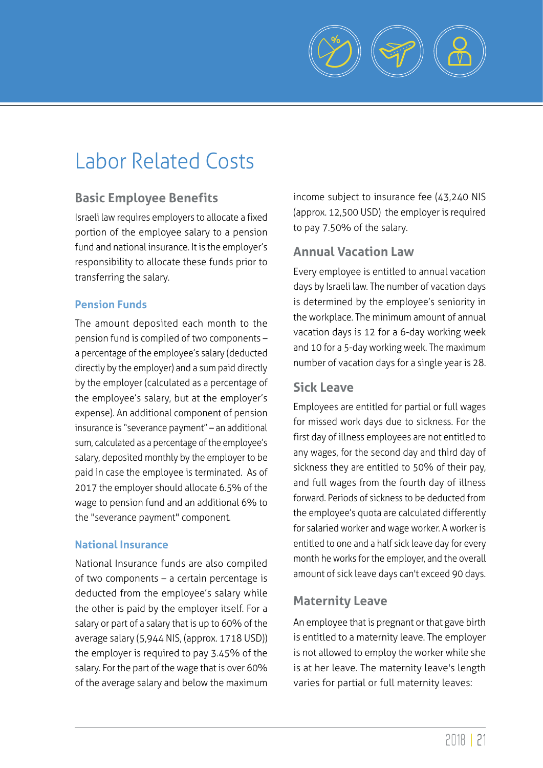

# Labor Related Costs

# **Basic Employee Benefits**

Israeli law requires employers to allocate a fixed portion of the employee salary to a pension fund and national insurance. It is the employer's responsibility to allocate these funds prior to transferring the salary.

#### **Pension Funds**

The amount deposited each month to the pension fund is compiled of two components – a percentage of the employee's salary (deducted directly by the employer) and a sum paid directly by the employer (calculated as a percentage of the employee's salary, but at the employer's expense). An additional component of pension insurance is "severance payment" – an additional sum, calculated as a percentage of the employee's salary, deposited monthly by the employer to be paid in case the employee is terminated. As of 2017 the employer should allocate 6.5% of the wage to pension fund and an additional 6% to the "severance payment" component.

#### **National Insurance**

National Insurance funds are also compiled of two components – a certain percentage is deducted from the employee's salary while the other is paid by the employer itself. For a salary or part of a salary that is up to 60% of the average salary (5,944 NIS, (approx. 1718 USD)) the employer is required to pay 3.45% of the salary. For the part of the wage that is over 60% of the average salary and below the maximum

income subject to insurance fee (43,240 NIS (approx. 12,500 USD) the employer is required to pay 7.50% of the salary.

# **Annual Vacation Law**

Every employee is entitled to annual vacation days by Israeli law. The number of vacation days is determined by the employee's seniority in the workplace. The minimum amount of annual vacation days is 12 for a 6-day working week and 10 for a 5-day working week. The maximum number of vacation days for a single year is 28.

## **Sick Leave**

Employees are entitled for partial or full wages for missed work days due to sickness. For the first day of illness employees are not entitled to any wages, for the second day and third day of sickness they are entitled to 50% of their pay, and full wages from the fourth day of illness forward. Periods of sickness to be deducted from the employee's quota are calculated differently for salaried worker and wage worker. A worker is entitled to one and a half sick leave day for every month he works for the employer, and the overall amount of sick leave days can't exceed 90 days.

# **Maternity Leave**

An employee that is pregnant or that gave birth is entitled to a maternity leave. The employer is not allowed to employ the worker while she is at her leave. The maternity leave's length varies for partial or full maternity leaves: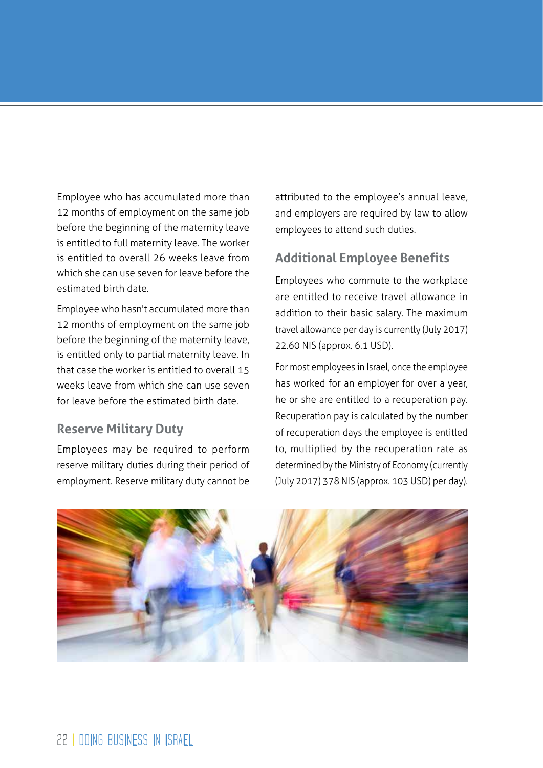Employee who has accumulated more than 12 months of employment on the same job before the beginning of the maternity leave is entitled to full maternity leave. The worker is entitled to overall 26 weeks leave from which she can use seven for leave before the estimated birth date.

Employee who hasn't accumulated more than 12 months of employment on the same job before the beginning of the maternity leave, is entitled only to partial maternity leave. In that case the worker is entitled to overall 15 weeks leave from which she can use seven for leave before the estimated birth date.

## **Reserve Military Duty**

Employees may be required to perform reserve military duties during their period of employment. Reserve military duty cannot be

attributed to the employee's annual leave, and employers are required by law to allow employees to attend such duties.

# **Additional Employee Benefits**

Employees who commute to the workplace are entitled to receive travel allowance in addition to their basic salary. The maximum travel allowance per day is currently (July 2017) 22.60 NIS (approx. 6.1 USD).

For most employees in Israel, once the employee has worked for an employer for over a year, he or she are entitled to a recuperation pay. Recuperation pay is calculated by the number of recuperation days the employee is entitled to, multiplied by the recuperation rate as determined by the Ministry of Economy (currently (July 2017) 378 NIS (approx. 103 USD) per day).

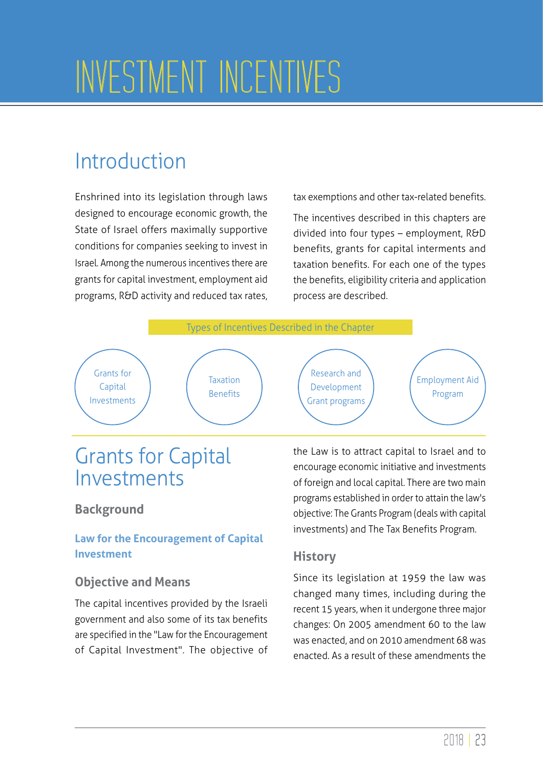# INVESTMENT INCENTIVES

# Introduction

Enshrined into its legislation through laws designed to encourage economic growth, the State of Israel offers maximally supportive conditions for companies seeking to invest in Israel. Among the numerous incentives there are grants for capital investment, employment aid programs, R&D activity and reduced tax rates, tax exemptions and other tax-related benefits.

The incentives described in this chapters are divided into four types – employment, R&D benefits, grants for capital interments and taxation benefits. For each one of the types the benefits, eligibility criteria and application process are described.



# Grants for Capital Investments

# **Background**

# **Law for the Encouragement of Capital Investment**

# **Objective and Means**

The capital incentives provided by the Israeli government and also some of its tax benefits are specified in the "Law for the Encouragement of Capital Investment". The objective of the Law is to attract capital to Israel and to encourage economic initiative and investments of foreign and local capital. There are two main programs established in order to attain the law's objective: The Grants Program (deals with capital investments) and The Tax Benefits Program.

# **History**

Since its legislation at 1959 the law was changed many times, including during the recent 15 years, when it undergone three major changes: On 2005 amendment 60 to the law was enacted, and on 2010 amendment 68 was enacted. As a result of these amendments the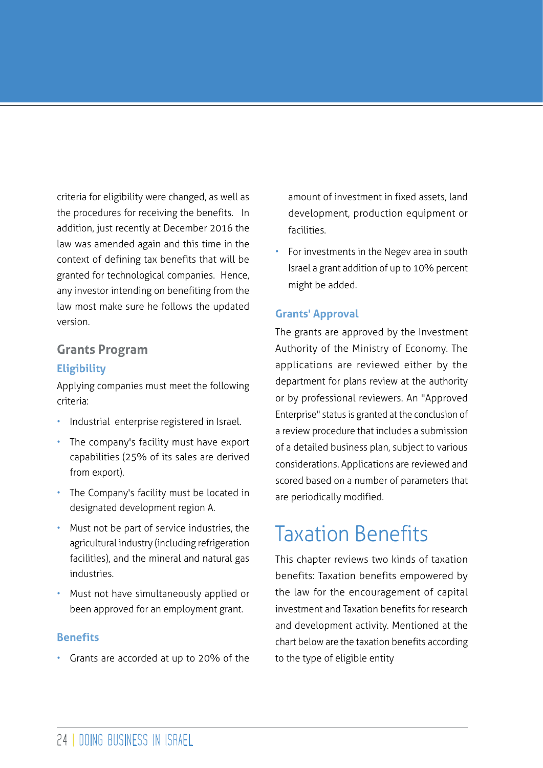criteria for eligibility were changed, as well as the procedures for receiving the benefits. In addition, just recently at December 2016 the law was amended again and this time in the context of defining tax benefits that will be granted for technological companies. Hence, any investor intending on benefiting from the law most make sure he follows the updated version.

# **Grants Program Eligibility**

Applying companies must meet the following criteria:

- Industrial enterprise registered in Israel.
- The company's facility must have export capabilities (25% of its sales are derived from export).
- The Company's facility must be located in designated development region A.
- Must not be part of service industries, the agricultural industry (including refrigeration facilities), and the mineral and natural gas industries.
- Must not have simultaneously applied or been approved for an employment grant.

## **Benefits**

Grants are accorded at up to 20% of the

amount of investment in fixed assets, land development, production equipment or facilities.

• For investments in the Negev area in south Israel a grant addition of up to 10% percent might be added.

## **Grants' Approval**

The grants are approved by the Investment Authority of the Ministry of Economy. The applications are reviewed either by the department for plans review at the authority or by professional reviewers. An "Approved Enterprise" status is granted at the conclusion of a review procedure that includes a submission of a detailed business plan, subject to various considerations. Applications are reviewed and scored based on a number of parameters that are periodically modified.

# Taxation Benefits

This chapter reviews two kinds of taxation benefits: Taxation benefits empowered by the law for the encouragement of capital investment and Taxation benefits for research and development activity. Mentioned at the chart below are the taxation benefits according to the type of eligible entity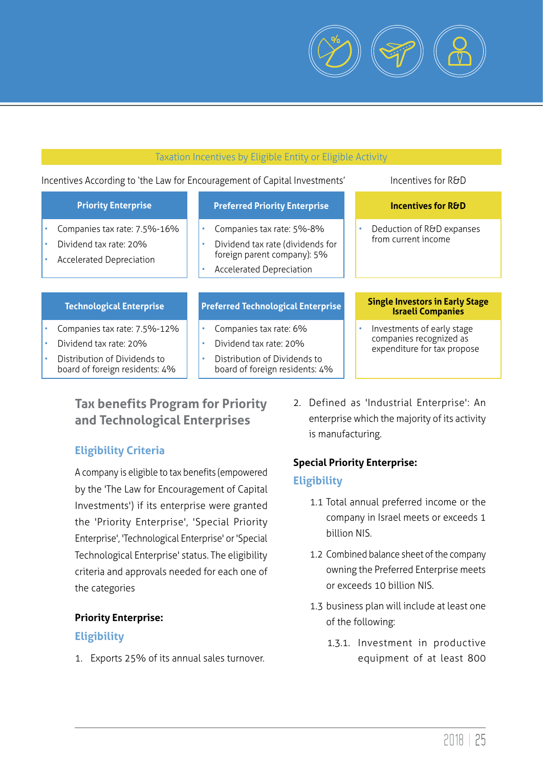

#### Taxation Incentives by Eligible Entity or Eligible Activity Incentives According to 'the Law for Encouragement of Capital Investments' lncentives for R&D **Technological Enterprise Preferred Technological Enterprise Single Investors in Early Stage Israeli Companies Priority Enterprise** • Companies tax rate: 7.5%-16% • Dividend tax rate: 20% • Accelerated Depreciation **Incentives for R&D**  Deduction of R&D expanses from current income **Preferred Priority Enterprise** • Companies tax rate: 5%-8% • Dividend tax rate (dividends for foreign parent company): 5% • Accelerated Depreciation • Companies tax rate: 7.5%-12% • Dividend tax rate: 20% • Distribution of Dividends to board of foreign residents: 4% Companies tax rate: 6% • Dividend tax rate: 20% • Distribution of Dividends to board of foreign residents: 4% Investments of early stage companies recognized as expenditure for tax propose

# **Tax benefits Program for Priority and Technological Enterprises**

# **Eligibility Criteria**

A company is eligible to tax benefits (empowered by the 'The Law for Encouragement of Capital Investments') if its enterprise were granted the 'Priority Enterprise', 'Special Priority Enterprise', 'Technological Enterprise' or 'Special Technological Enterprise' status. The eligibility criteria and approvals needed for each one of the categories

#### **Priority Enterprise:**

## **Eligibility**

1. Exports 25% of its annual sales turnover.

2. Defined as 'Industrial Enterprise': An enterprise which the majority of its activity is manufacturing.

## **Special Priority Enterprise:**

## **Eligibility**

- 1.1 Total annual preferred income or the company in Israel meets or exceeds 1 billion NIS.
- 1.2 Combined balance sheet of the company owning the Preferred Enterprise meets or exceeds 10 billion NIS.
- 1.3 business plan will include at least one of the following:
	- 1.3.1. Investment in productive equipment of at least 800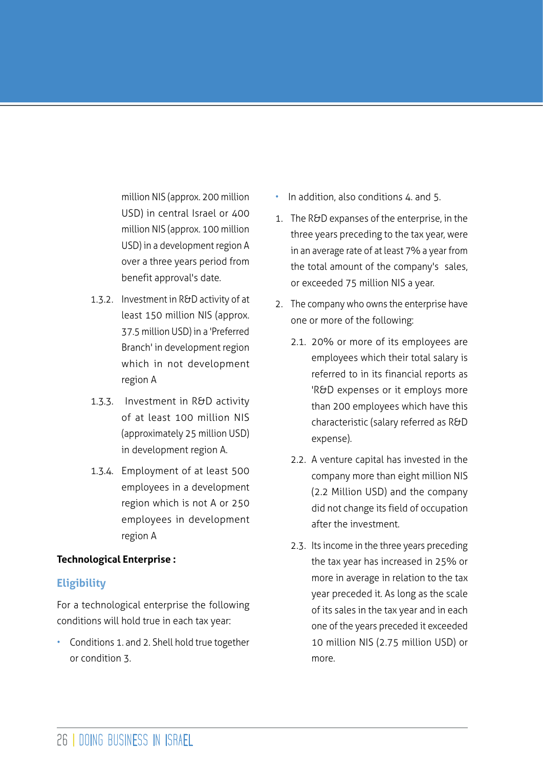million NIS (approx. 200 million USD) in central Israel or 400 million NIS (approx. 100 million USD) in a development region A over a three years period from benefit approval's date.

- 1.3.2. Investment in R&D activity of at least 150 million NIS (approx. 37.5 million USD) in a 'Preferred Branch' in development region which in not development region A
- 1.3.3. Investment in R&D activity of at least 100 million NIS (approximately 25 million USD) in development region A.
- 1.3.4. Employment of at least 500 employees in a development region which is not A or 250 employees in development region A

#### **Technological Enterprise :**

#### **Eligibility**

For a technological enterprise the following conditions will hold true in each tax year:

• Conditions 1. and 2. Shell hold true together or condition 3.

- In addition, also conditions 4. and 5.
- 1. The R&D expanses of the enterprise, in the three years preceding to the tax year, were in an average rate of at least 7% a year from the total amount of the company's sales, or exceeded 75 million NIS a year.
- 2. The company who owns the enterprise have one or more of the following:
	- 2.1. 20% or more of its employees are employees which their total salary is referred to in its financial reports as 'R&D expenses or it employs more than 200 employees which have this characteristic (salary referred as R&D expense).
	- 2.2. A venture capital has invested in the company more than eight million NIS (2.2 Million USD) and the company did not change its field of occupation after the investment.
	- 2.3. Its income in the three years preceding the tax year has increased in 25% or more in average in relation to the tax year preceded it. As long as the scale of its sales in the tax year and in each one of the years preceded it exceeded 10 million NIS (2.75 million USD) or more.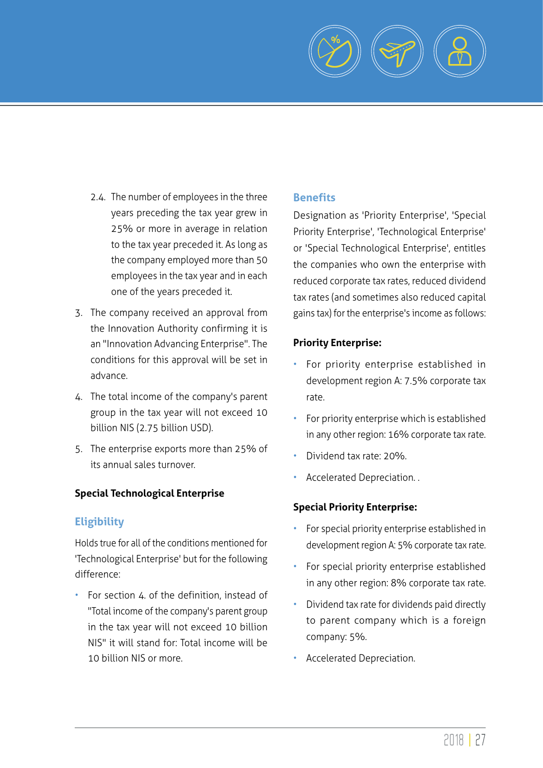

- 2.4. The number of employees in the three years preceding the tax year grew in 25% or more in average in relation to the tax year preceded it. As long as the company employed more than 50 employees in the tax year and in each one of the years preceded it.
- 3. The company received an approval from the Innovation Authority confirming it is an "Innovation Advancing Enterprise". The conditions for this approval will be set in advance.
- 4. The total income of the company's parent group in the tax year will not exceed 10 billion NIS (2.75 billion USD).
- 5. The enterprise exports more than 25% of its annual sales turnover.

#### **Special Technological Enterprise**

#### **Eligibility**

Holds true for all of the conditions mentioned for 'Technological Enterprise' but for the following difference:

• For section 4. of the definition, instead of "Total income of the company's parent group in the tax year will not exceed 10 billion NIS" it will stand for: Total income will be 10 billion NIS or more.

#### **Benefits**

Designation as 'Priority Enterprise', 'Special Priority Enterprise', 'Technological Enterprise' or 'Special Technological Enterprise', entitles the companies who own the enterprise with reduced corporate tax rates, reduced dividend tax rates (and sometimes also reduced capital gains tax) for the enterprise's income as follows:

#### **Priority Enterprise:**

- For priority enterprise established in development region A: 7.5% corporate tax rate.
- For priority enterprise which is established in any other region: 16% corporate tax rate.
- Dividend tax rate: 20%.
- Accelerated Depreciation. .

#### **Special Priority Enterprise:**

- For special priority enterprise established in development region A: 5% corporate tax rate.
- For special priority enterprise established in any other region: 8% corporate tax rate.
- Dividend tax rate for dividends paid directly to parent company which is a foreign company: 5%.
- Accelerated Depreciation.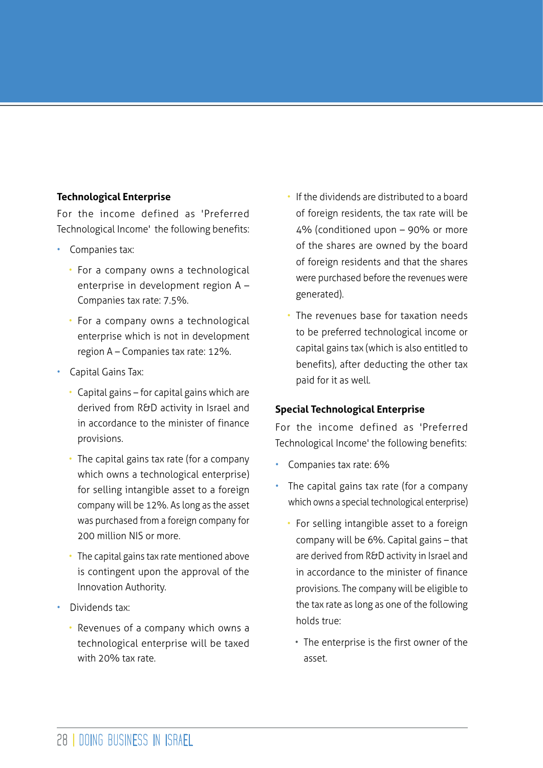#### **Technological Enterprise**

For the income defined as 'Preferred Technological Income' the following benefits:

- Companies tax:
	- For a company owns a technological enterprise in development region A – Companies tax rate: 7.5%.
	- For a company owns a technological enterprise which is not in development region A – Companies tax rate: 12%.
- Capital Gains Tax:
	- Capital gains for capital gains which are derived from R&D activity in Israel and in accordance to the minister of finance provisions.
	- The capital gains tax rate (for a company which owns a technological enterprise) for selling intangible asset to a foreign company will be 12%. As long as the asset was purchased from a foreign company for 200 million NIS or more.
	- The capital gains tax rate mentioned above is contingent upon the approval of the Innovation Authority.
- Dividends tax:
	- Revenues of a company which owns a technological enterprise will be taxed with 20% tax rate.
- If the dividends are distributed to a board of foreign residents, the tax rate will be 4% (conditioned upon – 90% or more of the shares are owned by the board of foreign residents and that the shares were purchased before the revenues were generated).
- The revenues base for taxation needs to be preferred technological income or capital gains tax (which is also entitled to benefits), after deducting the other tax paid for it as well.

#### **Special Technological Enterprise**

For the income defined as 'Preferred Technological Income' the following benefits:

- Companies tax rate: 6%
- The capital gains tax rate (for a company which owns a special technological enterprise)
	- For selling intangible asset to a foreign company will be 6%. Capital gains – that are derived from R&D activity in Israel and in accordance to the minister of finance provisions. The company will be eligible to the tax rate as long as one of the following holds true:
		- The enterprise is the first owner of the asset.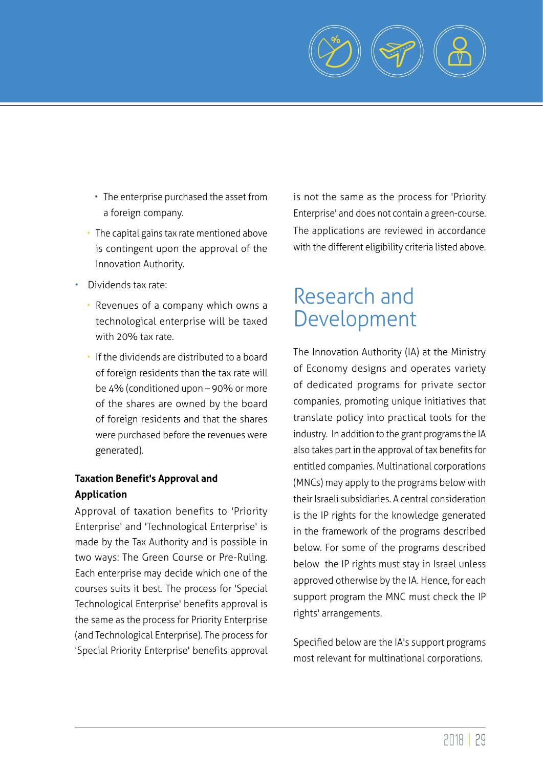

- The enterprise purchased the asset from a foreign company.
- The capital gains tax rate mentioned above is contingent upon the approval of the Innovation Authority.
- Dividends tax rate:
	- Revenues of a company which owns a technological enterprise will be taxed with 20% tax rate.
	- If the dividends are distributed to a board of foreign residents than the tax rate will be 4% (conditioned upon – 90% or more of the shares are owned by the board of foreign residents and that the shares were purchased before the revenues were generated).

# **Taxation Benefit's Approval and Application**

Approval of taxation benefits to 'Priority Enterprise' and 'Technological Enterprise' is made by the Tax Authority and is possible in two ways: The Green Course or Pre-Ruling. Each enterprise may decide which one of the courses suits it best. The process for 'Special Technological Enterprise' benefits approval is the same as the process for Priority Enterprise (and Technological Enterprise). The process for 'Special Priority Enterprise' benefits approval is not the same as the process for 'Priority Enterprise' and does not contain a green-course. The applications are reviewed in accordance with the different eligibility criteria listed above.

# Research and Development

The Innovation Authority (IA) at the Ministry of Economy designs and operates variety of dedicated programs for private sector companies, promoting unique initiatives that translate policy into practical tools for the industry. In addition to the grant programs the IA also takes part in the approval of tax benefits for entitled companies. Multinational corporations (MNCs) may apply to the programs below with their Israeli subsidiaries. A central consideration is the IP rights for the knowledge generated in the framework of the programs described below. For some of the programs described below the IP rights must stay in Israel unless approved otherwise by the IA. Hence, for each support program the MNC must check the IP rights' arrangements.

Specified below are the IA's support programs most relevant for multinational corporations.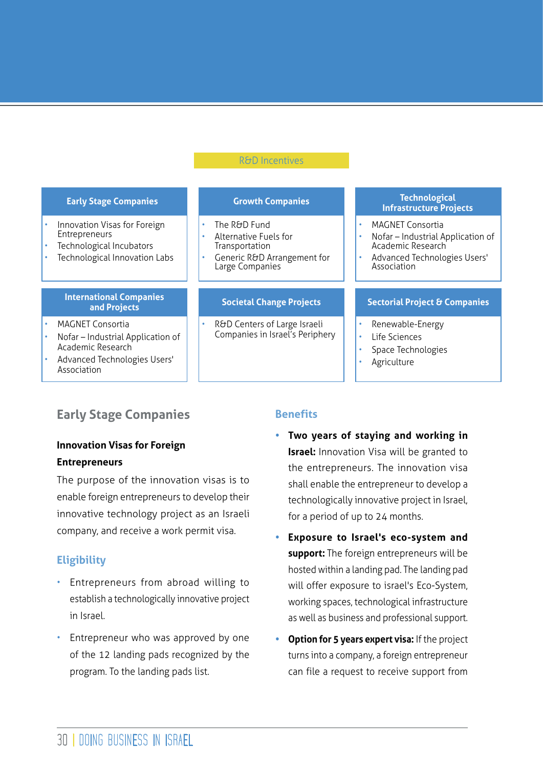#### R&D Incentives

| <b>Early Stage Companies</b>                                                                                                     | <b>Growth Companies</b>                                                                                                  | <b>Technological</b><br><b>Infrastructure Projects</b>                                                                                        |
|----------------------------------------------------------------------------------------------------------------------------------|--------------------------------------------------------------------------------------------------------------------------|-----------------------------------------------------------------------------------------------------------------------------------------------|
| Innovation Visas for Foreign<br>Entrepreneurs<br>Technological Incubators<br>Technological Innovation Labs                       | The R&D Fund<br>٠<br>Alternative Fuels for<br>۰<br>Transportation<br>Generic R&D Arrangement for<br>٠<br>Large Companies | <b>MAGNET Consortia</b><br>Nofar - Industrial Application of<br>Academic Research<br>Advanced Technologies Users'<br>$\bullet$<br>Association |
| <b>International Companies</b><br>and Projects                                                                                   | <b>Societal Change Projects</b>                                                                                          | <b>Sectorial Project &amp; Companies</b>                                                                                                      |
| <b>MAGNET Consortia</b><br>Nofar – Industrial Application of<br>Academic Research<br>Advanced Technologies Users'<br>Association | R&D Centers of Large Israeli<br>٠<br>Companies in Israel's Periphery                                                     | Renewable-Energy<br>Life Sciences<br>$\bullet$<br>Space Technologies<br>Agriculture                                                           |

# **Early Stage Companies**

#### **Innovation Visas for Foreign Entrepreneurs**

The purpose of the innovation visas is to enable foreign entrepreneurs to develop their innovative technology project as an Israeli company, and receive a work permit visa.

## **Eligibility**

- Entrepreneurs from abroad willing to establish a technologically innovative project in Israel.
- Entrepreneur who was approved by one of the 12 landing pads recognized by the program. To the landing pads list.

#### **Benefits**

- **• Two years of staying and working in Israel:** Innovation Visa will be granted to the entrepreneurs. The innovation visa shall enable the entrepreneur to develop a technologically innovative project in Israel, for a period of up to 24 months.
- **• Exposure to Israel's eco-system and support:** The foreign entrepreneurs will be hosted within a landing pad. The landing pad will offer exposure to israel's Eco-System, working spaces, technological infrastructure as well as business and professional support.
- **• Option for 5 years expert visa:** If the project turns into a company, a foreign entrepreneur can file a request to receive support from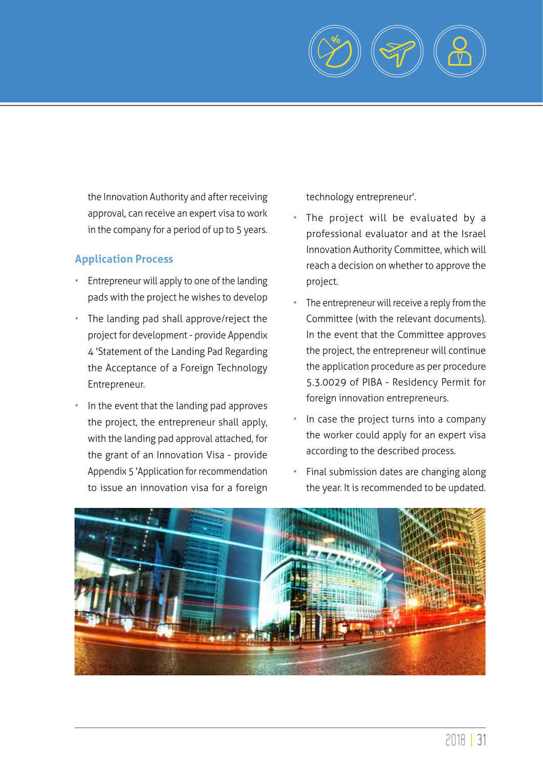

the Innovation Authority and after receiving approval, can receive an expert visa to work in the company for a period of up to 5 years.

# **Application Process**

- Entrepreneur will apply to one of the landing pads with the project he wishes to develop
- The landing pad shall approve/reject the project for development - provide Appendix 4 'Statement of the Landing Pad Regarding the Acceptance of a Foreign Technology Entrepreneur.
- In the event that the landing pad approves the project, the entrepreneur shall apply, with the landing pad approval attached, for the grant of an Innovation Visa - provide Appendix 5 'Application for recommendation to issue an innovation visa for a foreign

technology entrepreneur'.

- The project will be evaluated by a professional evaluator and at the Israel Innovation Authority Committee, which will reach a decision on whether to approve the project.
- The entrepreneur will receive a reply from the Committee (with the relevant documents). In the event that the Committee approves the project, the entrepreneur will continue the application procedure as per procedure 5.3.0029 of PIBA - Residency Permit for foreign innovation entrepreneurs.
- In case the project turns into a company the worker could apply for an expert visa according to the described process.
- Final submission dates are changing along the year. It is recommended to be updated.

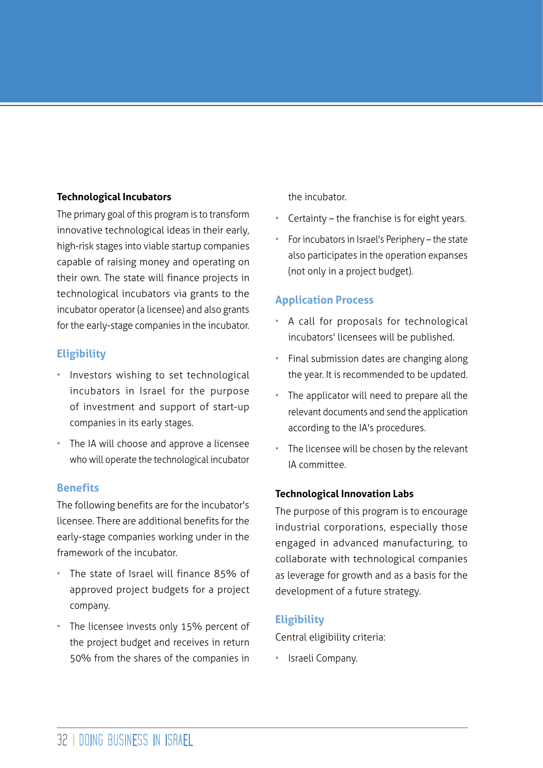#### **Technological Incubators**

The primary goal of this program is to transform innovative technological ideas in their early, high-risk stages into viable startup companies capable of raising money and operating on their own. The state will finance projects in technological incubators via grants to the incubator operator (a licensee) and also grants for the early-stage companies in the incubator.

## **Eligibility**

- Investors wishing to set technological incubators in Israel for the purpose of investment and support of start-up companies in its early stages.
- The IA will choose and approve a licensee who will operate the technological incubator

#### **Benefits**

The following benefits are for the incubator's licensee. There are additional benefits for the early-stage companies working under in the framework of the incubator.

- The state of Israel will finance 85% of approved project budgets for a project company.
- The licensee invests only 15% percent of the project budget and receives in return 50% from the shares of the companies in

the incubator.

- Certainty  $-$  the franchise is for eight years.
- For incubators in Israel's Periphery the state also participates in the operation expanses (not only in a project budget).

#### **Application Process**

- A call for proposals for technological incubators' licensees will be published.
- Final submission dates are changing along the year. It is recommended to be updated.
- The applicator will need to prepare all the relevant documents and send the application according to the IA's procedures.
- The licensee will be chosen by the relevant IA committee.

#### **Technological Innovation Labs**

The purpose of this program is to encourage industrial corporations, especially those engaged in advanced manufacturing, to collaborate with technological companies as leverage for growth and as a basis for the development of a future strategy.

#### **Eligibility**

Central eligibility criteria:

• Israeli Company.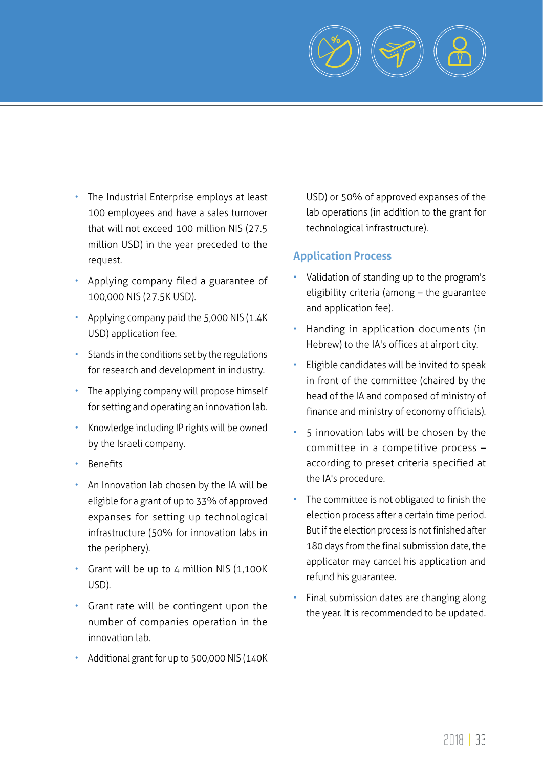

- The Industrial Enterprise employs at least 100 employees and have a sales turnover that will not exceed 100 million NIS (27.5 million USD) in the year preceded to the request.
- Applying company filed a guarantee of 100,000 NIS (27.5K USD).
- Applying company paid the 5,000 NIS (1.4K USD) application fee.
- Stands in the conditions set by the regulations for research and development in industry.
- The applying company will propose himself for setting and operating an innovation lab.
- Knowledge including IP rights will be owned by the Israeli company.
- Benefits
- An Innovation lab chosen by the IA will be eligible for a grant of up to 33% of approved expanses for setting up technological infrastructure (50% for innovation labs in the periphery).
- Grant will be up to 4 million NIS (1,100K USD).
- Grant rate will be contingent upon the number of companies operation in the innovation lab.
- Additional grant for up to 500,000 NIS (140K

USD) or 50% of approved expanses of the lab operations (in addition to the grant for technological infrastructure).

#### **Application Process**

- Validation of standing up to the program's eligibility criteria (among – the guarantee and application fee).
- Handing in application documents (in Hebrew) to the IA's offices at airport city.
- Eligible candidates will be invited to speak in front of the committee (chaired by the head of the IA and composed of ministry of finance and ministry of economy officials).
- 5 innovation labs will be chosen by the committee in a competitive process – according to preset criteria specified at the IA's procedure.
- The committee is not obligated to finish the election process after a certain time period. But if the election process is not finished after 180 days from the final submission date, the applicator may cancel his application and refund his guarantee.
- Final submission dates are changing along the year. It is recommended to be updated.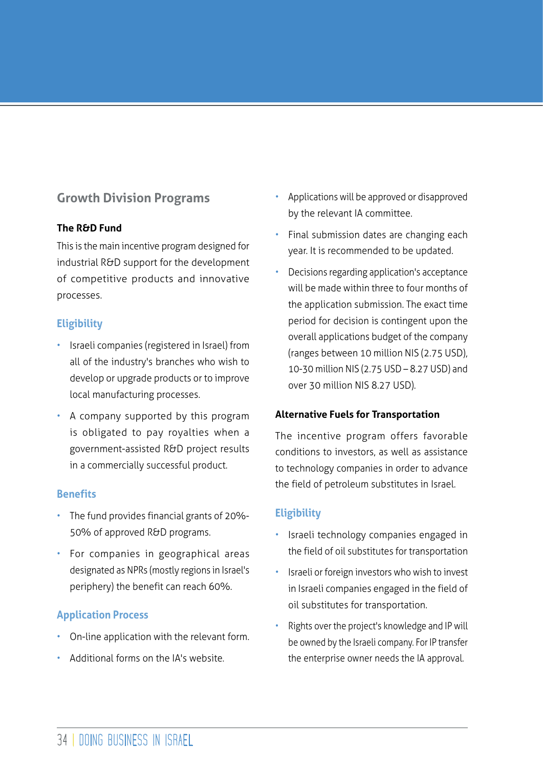# **Growth Division Programs**

#### **The R&D Fund**

This is the main incentive program designed for industrial R&D support for the development of competitive products and innovative processes.

## **Eligibility**

- Israeli companies (registered in Israel) from all of the industry's branches who wish to develop or upgrade products or to improve local manufacturing processes.
- A company supported by this program is obligated to pay royalties when a government-assisted R&D project results in a commercially successful product.

#### **Benefits**

- The fund provides financial grants of 20%- 50% of approved R&D programs.
- For companies in geographical areas designated as NPRs (mostly regions in Israel's periphery) the benefit can reach 60%.

## **Application Process**

- On-line application with the relevant form.
- Additional forms on the IA's website.
- Applications will be approved or disapproved by the relevant IA committee.
- Final submission dates are changing each year. It is recommended to be updated.
- Decisions regarding application's acceptance will be made within three to four months of the application submission. The exact time period for decision is contingent upon the overall applications budget of the company (ranges between 10 million NIS (2.75 USD), 10-30 million NIS (2.75 USD – 8.27 USD) and over 30 million NIS 8.27 USD).

#### **Alternative Fuels for Transportation**

The incentive program offers favorable conditions to investors, as well as assistance to technology companies in order to advance the field of petroleum substitutes in Israel.

## **Eligibility**

- Israeli technology companies engaged in the field of oil substitutes for transportation
- Israeli or foreign investors who wish to invest in Israeli companies engaged in the field of oil substitutes for transportation.
- Rights over the project's knowledge and IP will be owned by the Israeli company. For IP transfer the enterprise owner needs the IA approval.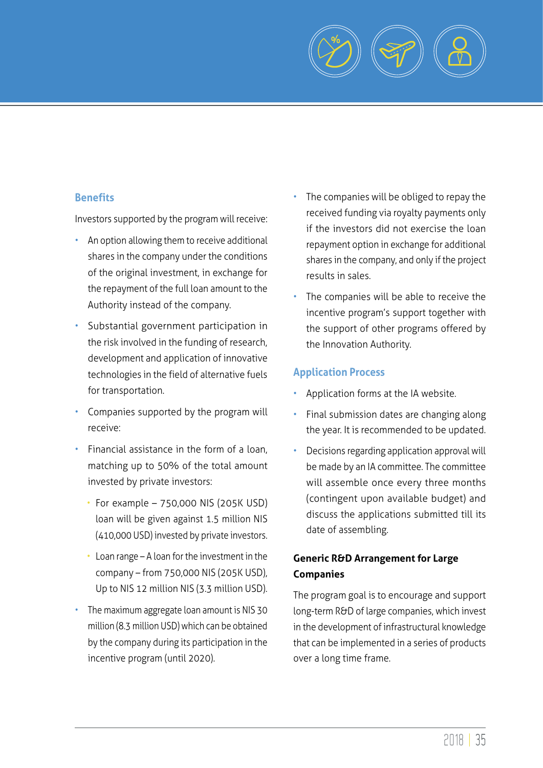

#### **Benefits**

Investors supported by the program will receive:

- An option allowing them to receive additional shares in the company under the conditions of the original investment, in exchange for the repayment of the full loan amount to the Authority instead of the company.
- Substantial government participation in the risk involved in the funding of research, development and application of innovative technologies in the field of alternative fuels for transportation.
- Companies supported by the program will receive:
- Financial assistance in the form of a loan, matching up to 50% of the total amount invested by private investors:
	- For example 750,000 NIS (205K USD) loan will be given against 1.5 million NIS (410,000 USD) invested by private investors.
	- Loan range A loan for the investment in the company – from 750,000 NIS (205K USD), Up to NIS 12 million NIS (3.3 million USD).
- The maximum aggregate loan amount is NIS 30 million (8.3 million USD) which can be obtained by the company during its participation in the incentive program (until 2020).
- The companies will be obliged to repay the received funding via royalty payments only if the investors did not exercise the loan repayment option in exchange for additional shares in the company, and only if the project results in sales.
- The companies will be able to receive the incentive program's support together with the support of other programs offered by the Innovation Authority.

#### **Application Process**

- Application forms at the IA website.
- Final submission dates are changing along the year. It is recommended to be updated.
- Decisions regarding application approval will be made by an IA committee. The committee will assemble once every three months (contingent upon available budget) and discuss the applications submitted till its date of assembling.

# **Generic R&D Arrangement for Large Companies**

The program goal is to encourage and support long-term R&D of large companies, which invest in the development of infrastructural knowledge that can be implemented in a series of products over a long time frame.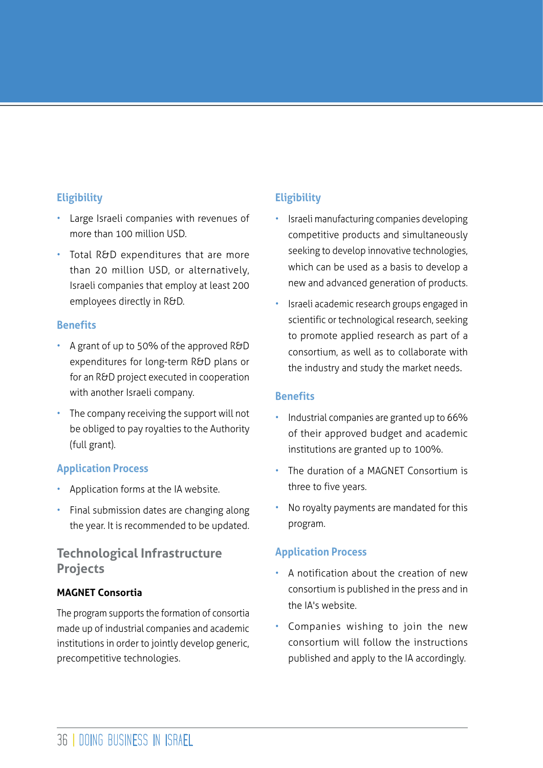#### **Eligibility**

- Large Israeli companies with revenues of more than 100 million USD.
- Total R&D expenditures that are more than 20 million USD, or alternatively, Israeli companies that employ at least 200 employees directly in R&D.

#### **Benefits**

- A grant of up to 50% of the approved R&D expenditures for long-term R&D plans or for an R&D project executed in cooperation with another Israeli company.
- The company receiving the support will not be obliged to pay royalties to the Authority (full grant).

#### **Application Process**

- Application forms at the IA website.
- Final submission dates are changing along the year. It is recommended to be updated.

# **Technological Infrastructure Projects**

#### **MAGNET Consortia**

The program supports the formation of consortia made up of industrial companies and academic institutions in order to jointly develop generic, precompetitive technologies.

# **Eligibility**

- Israeli manufacturing companies developing competitive products and simultaneously seeking to develop innovative technologies, which can be used as a basis to develop a new and advanced generation of products.
- Israeli academic research groups engaged in scientific or technological research, seeking to promote applied research as part of a consortium, as well as to collaborate with the industry and study the market needs.

#### **Benefits**

- Industrial companies are granted up to 66% of their approved budget and academic institutions are granted up to 100%.
- The duration of a MAGNET Consortium is three to five years.
- No royalty payments are mandated for this program.

#### **Application Process**

- A notification about the creation of new consortium is published in the press and in the IA's website.
- Companies wishing to join the new consortium will follow the instructions published and apply to the IA accordingly.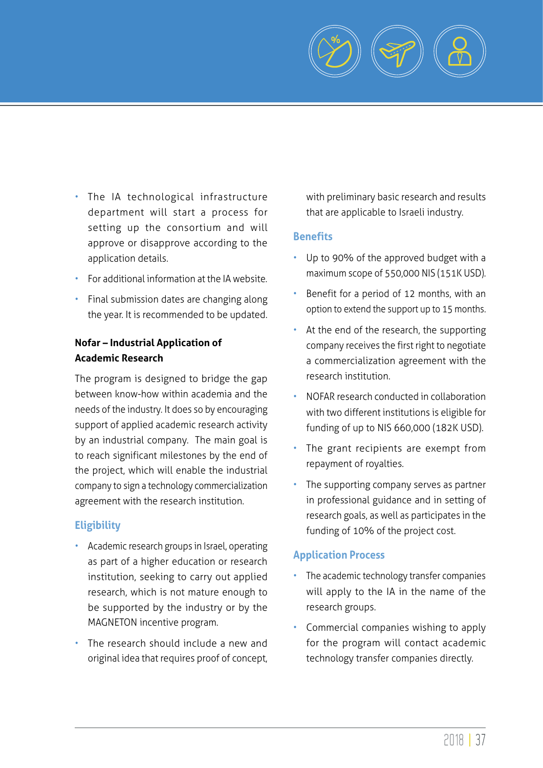

- The IA technological infrastructure department will start a process for setting up the consortium and will approve or disapprove according to the application details.
- For additional information at the IA website.
- Final submission dates are changing along the year. It is recommended to be updated.

#### **Nofar – Industrial Application of Academic Research**

The program is designed to bridge the gap between know-how within academia and the needs of the industry. It does so by encouraging support of applied academic research activity by an industrial company. The main goal is to reach significant milestones by the end of the project, which will enable the industrial company to sign a technology commercialization agreement with the research institution.

#### **Eligibility**

- Academic research groups in Israel, operating as part of a higher education or research institution, seeking to carry out applied research, which is not mature enough to be supported by the industry or by the MAGNETON incentive program.
- The research should include a new and original idea that requires proof of concept,

with preliminary basic research and results that are applicable to Israeli industry.

#### **Benefits**

- Up to 90% of the approved budget with a maximum scope of 550,000 NIS (151K USD).
- Benefit for a period of 12 months, with an option to extend the support up to 15 months.
- At the end of the research, the supporting company receives the first right to negotiate a commercialization agreement with the research institution.
- NOFAR research conducted in collaboration with two different institutions is eligible for funding of up to NIS 660,000 (182K USD).
- The grant recipients are exempt from repayment of royalties.
- The supporting company serves as partner in professional guidance and in setting of research goals, as well as participates in the funding of 10% of the project cost.

#### **Application Process**

- The academic technology transfer companies will apply to the IA in the name of the research groups.
- Commercial companies wishing to apply for the program will contact academic technology transfer companies directly.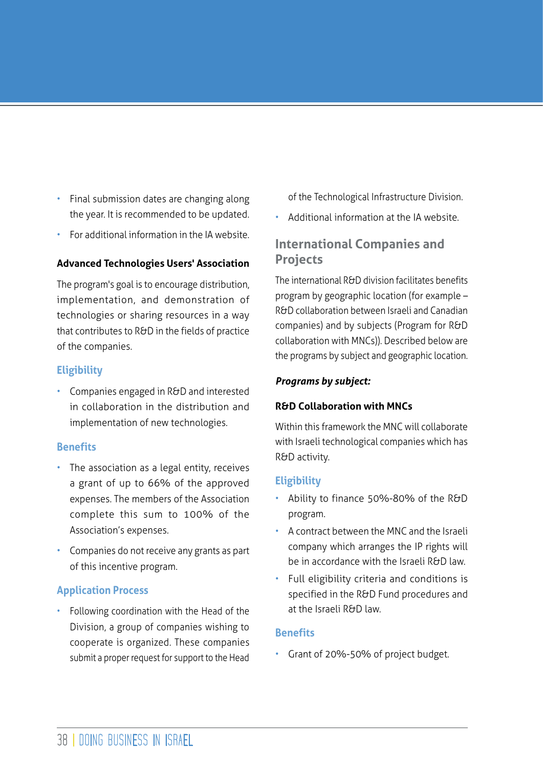- Final submission dates are changing along the year. It is recommended to be updated.
- For additional information in the IA website.

#### **Advanced Technologies Users' Association**

The program's goal is to encourage distribution, implementation, and demonstration of technologies or sharing resources in a way that contributes to R&D in the fields of practice of the companies.

#### **Eligibility**

• Companies engaged in R&D and interested in collaboration in the distribution and implementation of new technologies.

#### **Benefits**

- The association as a legal entity, receives a grant of up to 66% of the approved expenses. The members of the Association complete this sum to 100% of the Association's expenses.
- Companies do not receive any grants as part of this incentive program.

#### **Application Process**

• Following coordination with the Head of the Division, a group of companies wishing to cooperate is organized. These companies submit a proper request for support to the Head

of the Technological Infrastructure Division.

• Additional information at the IA website.

# **International Companies and Projects**

The international R&D division facilitates benefits program by geographic location (for example – R&D collaboration between Israeli and Canadian companies) and by subjects (Program for R&D collaboration with MNCs)). Described below are the programs by subject and geographic location.

#### *Programs by subject:*

#### **R&D Collaboration with MNCs**

Within this framework the MNC will collaborate with Israeli technological companies which has R&D activity.

#### **Eligibility**

- Ability to finance 50%-80% of the R&D program.
- A contract between the MNC and the Israeli company which arranges the IP rights will be in accordance with the Israeli R&D law.
- Full eligibility criteria and conditions is specified in the R&D Fund procedures and at the Israeli R&D law.

#### **Benefits**

• Grant of 20%-50% of project budget.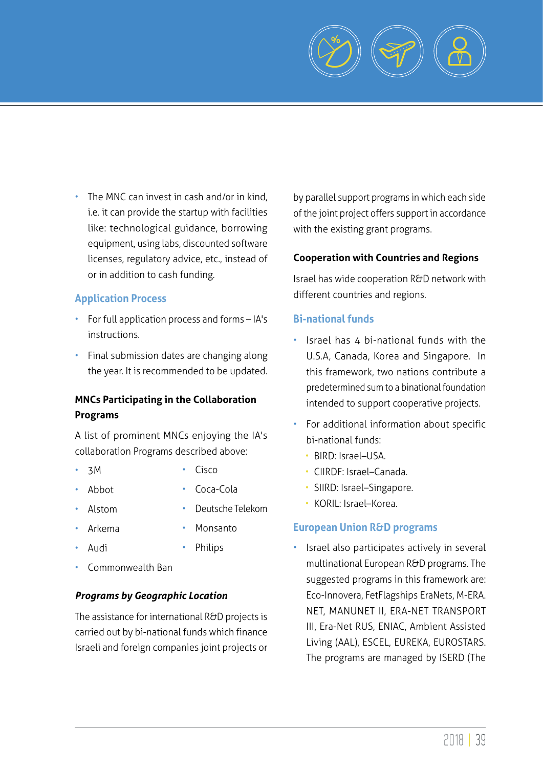

• The MNC can invest in cash and/or in kind, i.e. it can provide the startup with facilities like: technological guidance, borrowing equipment, using labs, discounted software licenses, regulatory advice, etc., instead of or in addition to cash funding.

#### **Application Process**

- For full application process and forms IA's instructions.
- Final submission dates are changing along the year. It is recommended to be updated.

#### **MNCs Participating in the Collaboration Programs**

A list of prominent MNCs enjoying the IA's collaboration Programs described above:

- 3M • Cisco
- Abbot
- Coca-Cola
- Alstom
- Deutsche Telekom • Monsanto
- Arkema • Audi
- Philips
- Commonwealth Ban

#### *Programs by Geographic Location*

The assistance for international R&D projects is carried out by bi-national funds which finance Israeli and foreign companies joint projects or by parallel support programs in which each side of the joint project offers support in accordance with the existing grant programs.

#### **Cooperation with Countries and Regions**

Israel has wide cooperation R&D network with different countries and regions.

#### **Bi-national funds**

- Israel has 4 bi-national funds with the U.S.A, Canada, Korea and Singapore. In this framework, two nations contribute a predetermined sum to a binational foundation intended to support cooperative projects.
- For additional information about specific bi-national funds:
	- BIRD: Israel–USA.
	- CIIRDF: Israel–Canada.
	- SIIRD: Israel–Singapore.
	- KORIL: Israel–Korea.

#### **European Union R&D programs**

Israel also participates actively in several multinational European R&D programs. The suggested programs in this framework are: Eco-Innovera, FetFlagships EraNets, M-ERA. NET, MANUNET II, ERA-NET TRANSPORT III, Era-Net RUS, ENIAC, Ambient Assisted Living (AAL), ESCEL, EUREKA, EUROSTARS. The programs are managed by ISERD (The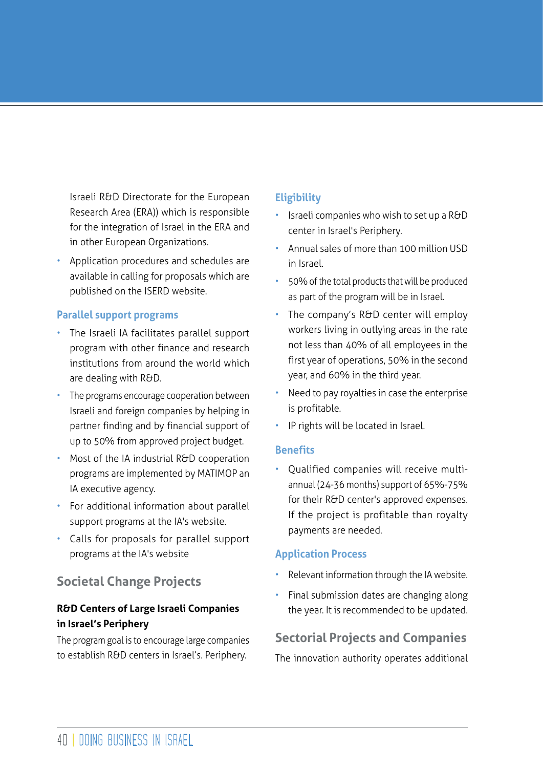Israeli R&D Directorate for the European Research Area (ERA)) which is responsible for the integration of Israel in the ERA and in other European Organizations.

• Application procedures and schedules are available in calling for proposals which are published on the ISERD website.

#### **Parallel support programs**

- The Israeli IA facilitates parallel support program with other finance and research institutions from around the world which are dealing with R&D.
- The programs encourage cooperation between Israeli and foreign companies by helping in partner finding and by financial support of up to 50% from approved project budget.
- Most of the IA industrial R&D cooperation programs are implemented by MATIMOP an IA executive agency.
- For additional information about parallel support programs at the IA's website.
- Calls for proposals for parallel support programs at the IA's website

# **Societal Change Projects**

#### **R&D Centers of Large Israeli Companies in Israel's Periphery**

The program goal is to encourage large companies to establish R&D centers in Israel's. Periphery.

# **Eligibility**

- Israeli companies who wish to set up a R&D center in Israel's Periphery.
- Annual sales of more than 100 million USD in Israel.
- 50% of the total products that will be produced as part of the program will be in Israel.
- The company's R&D center will employ workers living in outlying areas in the rate not less than 40% of all employees in the first year of operations, 50% in the second year, and 60% in the third year.
- Need to pay royalties in case the enterprise is profitable.
- IP rights will be located in Israel.

#### **Benefits**

• Qualified companies will receive multiannual (24-36 months) support of 65%-75% for their R&D center's approved expenses. If the project is profitable than royalty payments are needed.

#### **Application Process**

- Relevant information through the IA website.
- Final submission dates are changing along the year. It is recommended to be updated.

# **Sectorial Projects and Companies**

The innovation authority operates additional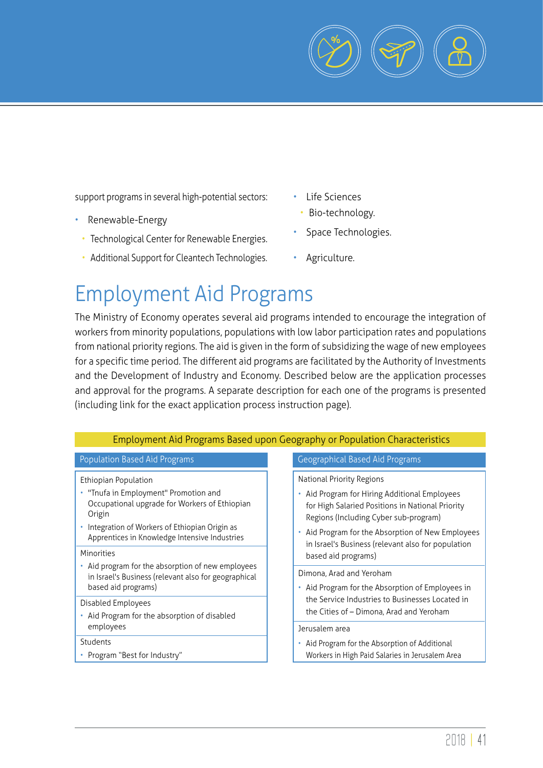

support programs in several high-potential sectors:

- Renewable-Energy
	- Technological Center for Renewable Energies.
	- Additional Support for Cleantech Technologies.
- Life Sciences
- Bio-technology.
- Space Technologies.
- Agriculture.

# Employment Aid Programs

The Ministry of Economy operates several aid programs intended to encourage the integration of workers from minority populations, populations with low labor participation rates and populations from national priority regions. The aid is given in the form of subsidizing the wage of new employees for a specific time period. The different aid programs are facilitated by the Authority of Investments and the Development of Industry and Economy. Described below are the application processes and approval for the programs. A separate description for each one of the programs is presented (including link for the exact application process instruction page).

| Employment Aid Programs Based upon Geography or Population Characteristics                                                                                                                                                               |                                                                                                                                                                                                                                                                                                           |  |
|------------------------------------------------------------------------------------------------------------------------------------------------------------------------------------------------------------------------------------------|-----------------------------------------------------------------------------------------------------------------------------------------------------------------------------------------------------------------------------------------------------------------------------------------------------------|--|
| Population Based Aid Programs                                                                                                                                                                                                            | <b>Geographical Based Aid Programs</b>                                                                                                                                                                                                                                                                    |  |
| Ethiopian Population<br>• "Tnufa in Employment" Promotion and<br>Occupational upgrade for Workers of Ethiopian<br>Origin<br>Integration of Workers of Ethiopian Origin as<br>Apprentices in Knowledge Intensive Industries<br>Minorities | National Priority Regions<br>• Aid Program for Hiring Additional Employees<br>for High Salaried Positions in National Priority<br>Regions (Including Cyber sub-program)<br>• Aid Program for the Absorption of New Employees<br>in Israel's Business (relevant also for population<br>based aid programs) |  |
| Aid program for the absorption of new employees<br>in Israel's Business (relevant also for geographical<br>based aid programs)                                                                                                           | Dimona, Arad and Yeroham<br>• Aid Program for the Absorption of Employees in                                                                                                                                                                                                                              |  |
| Disabled Employees<br>Aid Program for the absorption of disabled<br>٠<br>employees                                                                                                                                                       | the Service Industries to Businesses Located in<br>the Cities of – Dimona, Arad and Yeroham<br>Jerusalem area                                                                                                                                                                                             |  |
| Students<br>• Program "Best for Industry"                                                                                                                                                                                                | Aid Program for the Absorption of Additional<br>Workers in High Paid Salaries in Jerusalem Area                                                                                                                                                                                                           |  |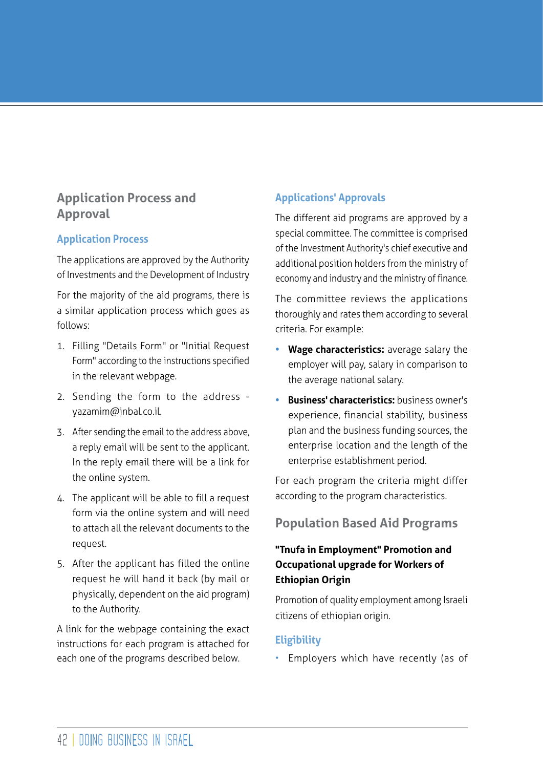# **Application Process and Approval**

## **Application Process**

The applications are approved by the Authority of Investments and the Development of Industry

For the majority of the aid programs, there is a similar application process which goes as follows:

- 1. Filling "Details Form" or "Initial Request Form" according to the instructions specified in the relevant webpage.
- 2. Sending the form to the address yazamim@inbal.co.il.
- 3. After sending the email to the address above, a reply email will be sent to the applicant. In the reply email there will be a link for the online system.
- 4. The applicant will be able to fill a request form via the online system and will need to attach all the relevant documents to the request.
- 5. After the applicant has filled the online request he will hand it back (by mail or physically, dependent on the aid program) to the Authority.

A link for the webpage containing the exact instructions for each program is attached for each one of the programs described below.

# **Applications' Approvals**

The different aid programs are approved by a special committee. The committee is comprised of the Investment Authority's chief executive and additional position holders from the ministry of economy and industry and the ministry of finance.

The committee reviews the applications thoroughly and rates them according to several criteria. For example:

- **• Wage characteristics:** average salary the employer will pay, salary in comparison to the average national salary.
- **• Business' characteristics:** business owner's experience, financial stability, business plan and the business funding sources, the enterprise location and the length of the enterprise establishment period.

For each program the criteria might differ according to the program characteristics.

# **Population Based Aid Programs**

## **"Tnufa in Employment" Promotion and Occupational upgrade for Workers of Ethiopian Origin**

Promotion of quality employment among Israeli citizens of ethiopian origin.

## **Eligibility**

• Employers which have recently (as of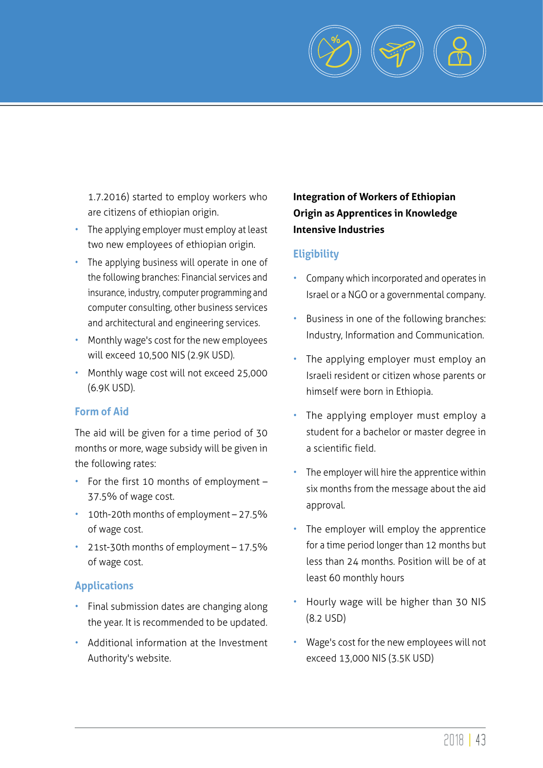

1.7.2016) started to employ workers who are citizens of ethiopian origin.

- The applying employer must employ at least two new employees of ethiopian origin.
- The applying business will operate in one of the following branches: Financial services and insurance, industry, computer programming and computer consulting, other business services and architectural and engineering services.
- Monthly wage's cost for the new employees will exceed 10,500 NIS (2.9K USD).
- Monthly wage cost will not exceed 25,000 (6.9K USD).

#### **Form of Aid**

The aid will be given for a time period of 30 months or more, wage subsidy will be given in the following rates:

- For the first 10 months of employment 37.5% of wage cost.
- 10th-20th months of employment 27.5% of wage cost.
- 21st-30th months of employment 17.5% of wage cost.

#### **Applications**

- Final submission dates are changing along the year. It is recommended to be updated.
- Additional information at the Investment Authority's website.

# **Integration of Workers of Ethiopian Origin as Apprentices in Knowledge Intensive Industries**

## **Eligibility**

- Company which incorporated and operates in Israel or a NGO or a governmental company.
- Business in one of the following branches: Industry, Information and Communication.
- The applying employer must employ an Israeli resident or citizen whose parents or himself were born in Ethiopia.
- The applying employer must employ a student for a bachelor or master degree in a scientific field.
- The employer will hire the apprentice within six months from the message about the aid approval.
- The employer will employ the apprentice for a time period longer than 12 months but less than 24 months. Position will be of at least 60 monthly hours
- Hourly wage will be higher than 30 NIS (8.2 USD)
- Wage's cost for the new employees will not exceed 13,000 NIS (3.5K USD)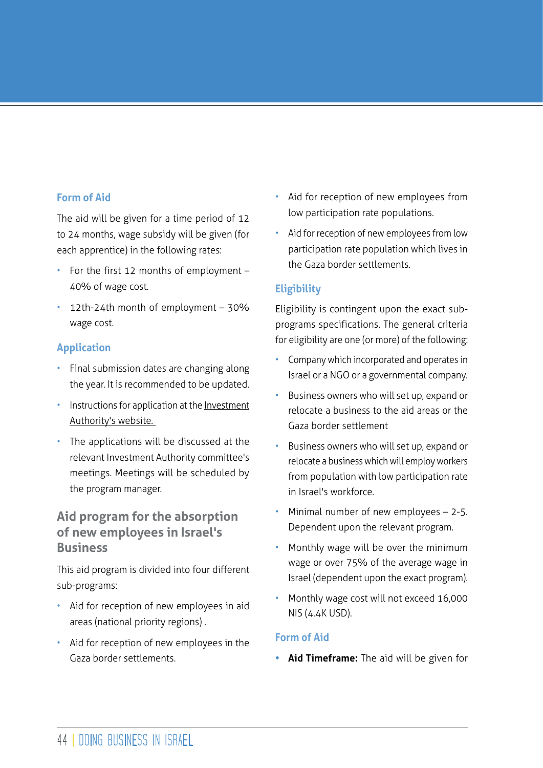#### **Form of Aid**

The aid will be given for a time period of 12 to 24 months, wage subsidy will be given (for each apprentice) in the following rates:

- For the first 12 months of employment 40% of wage cost.
- 12th-24th month of employment 30% wage cost.

#### **Application**

- Final submission dates are changing along the year. It is recommended to be updated.
- Instructions for application at the Investment Authority's website.
- The applications will be discussed at the relevant Investment Authority committee's meetings. Meetings will be scheduled by the program manager.

# **Aid program for the absorption of new employees in Israel's Business**

This aid program is divided into four different sub-programs:

- Aid for reception of new employees in aid areas (national priority regions) .
- Aid for reception of new employees in the Gaza border settlements.
- Aid for reception of new employees from low participation rate populations.
- Aid for reception of new employees from low participation rate population which lives in the Gaza border settlements.

#### **Eligibility**

Eligibility is contingent upon the exact subprograms specifications. The general criteria for eligibility are one (or more) of the following:

- Company which incorporated and operates in Israel or a NGO or a governmental company.
- Business owners who will set up, expand or relocate a business to the aid areas or the Gaza border settlement
- Business owners who will set up, expand or relocate a business which will employ workers from population with low participation rate in Israel's workforce.
- Minimal number of new employees  $-$  2-5. Dependent upon the relevant program.
- Monthly wage will be over the minimum wage or over 75% of the average wage in Israel (dependent upon the exact program).
- Monthly wage cost will not exceed 16,000 NIS (4.4K USD).

#### **Form of Aid**

**• Aid Timeframe:** The aid will be given for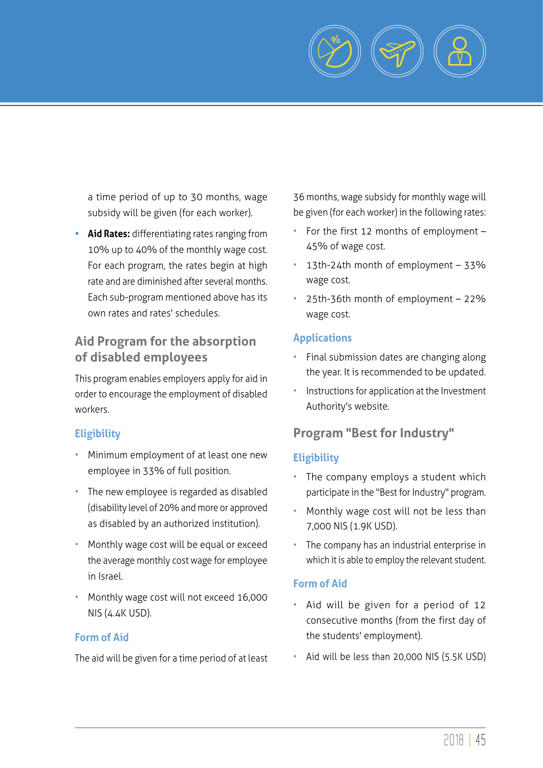

a time period of up to 30 months, wage subsidy will be given (for each worker).

**• Aid Rates:** differentiating rates ranging from 10% up to 40% of the monthly wage cost. For each program, the rates begin at high rate and are diminished after several months. Each sub-program mentioned above has its own rates and rates' schedules.

# **Aid Program for the absorption of disabled employees**

This program enables employers apply for aid in order to encourage the employment of disabled workers.

## **Eligibility**

- Minimum employment of at least one new employee in 33% of full position.
- The new employee is regarded as disabled (disability level of 20% and more or approved as disabled by an authorized institution).
- Monthly wage cost will be equal or exceed the average monthly cost wage for employee in Israel.
- Monthly wage cost will not exceed 16,000 NIS (4.4K USD).

## **Form of Aid**

The aid will be given for a time period of at least

36 months, wage subsidy for monthly wage will be given (for each worker) in the following rates:

- For the first 12 months of employment 45% of wage cost.
- 13th-24th month of employment 33% wage cost.
- 25th-36th month of employment 22% wage cost.

## **Applications**

- Final submission dates are changing along the year. It is recommended to be updated.
- Instructions for application at the Investment Authority's website.

# **Program "Best for Industry"**

## **Eligibility**

- The company employs a student which participate in the "Best for Industry" program.
- Monthly wage cost will not be less than 7,000 NIS (1.9K USD).
- The company has an industrial enterprise in which it is able to employ the relevant student.

# **Form of Aid**

- Aid will be given for a period of 12 consecutive months (from the first day of the students' employment).
- Aid will be less than 20,000 NIS (5.5K USD)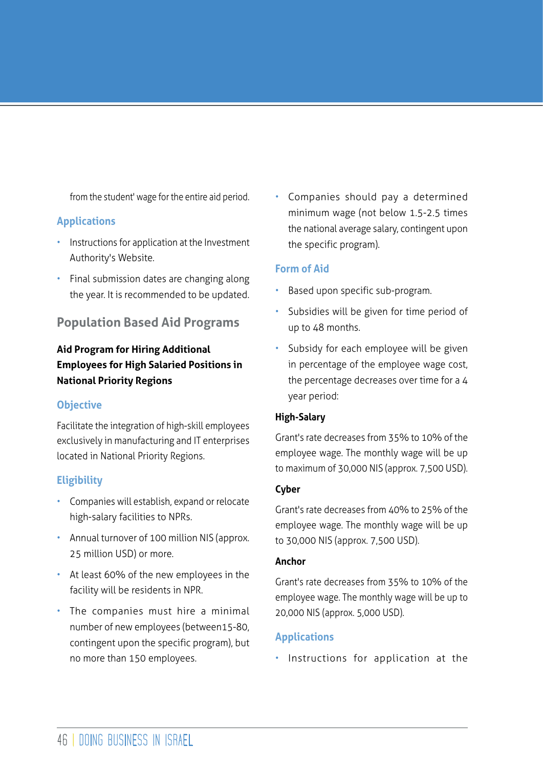from the student' wage for the entire aid period.

#### **Applications**

- Instructions for application at the Investment Authority's Website.
- Final submission dates are changing along the year. It is recommended to be updated.

# **Population Based Aid Programs**

# **Aid Program for Hiring Additional Employees for High Salaried Positions in National Priority Regions**

#### **Objective**

Facilitate the integration of high-skill employees exclusively in manufacturing and IT enterprises located in National Priority Regions.

## **Eligibility**

- Companies will establish, expand or relocate high-salary facilities to NPRs.
- Annual turnover of 100 million NIS (approx. 25 million USD) or more.
- At least 60% of the new employees in the facility will be residents in NPR.
- The companies must hire a minimal number of new employees (between15-80, contingent upon the specific program), but no more than 150 employees.

Companies should pay a determined minimum wage (not below 1.5-2.5 times the national average salary, contingent upon the specific program).

#### **Form of Aid**

- Based upon specific sub-program.
- Subsidies will be given for time period of up to 48 months.
- Subsidy for each employee will be given in percentage of the employee wage cost, the percentage decreases over time for a 4 year period:

#### **High-Salary**

Grant's rate decreases from 35% to 10% of the employee wage. The monthly wage will be up to maximum of 30,000 NIS (approx. 7,500 USD).

#### **Cyber**

Grant's rate decreases from 40% to 25% of the employee wage. The monthly wage will be up to 30,000 NIS (approx. 7,500 USD).

#### **Anchor**

Grant's rate decreases from 35% to 10% of the employee wage. The monthly wage will be up to 20,000 NIS (approx. 5,000 USD).

## **Applications**

• Instructions for application at the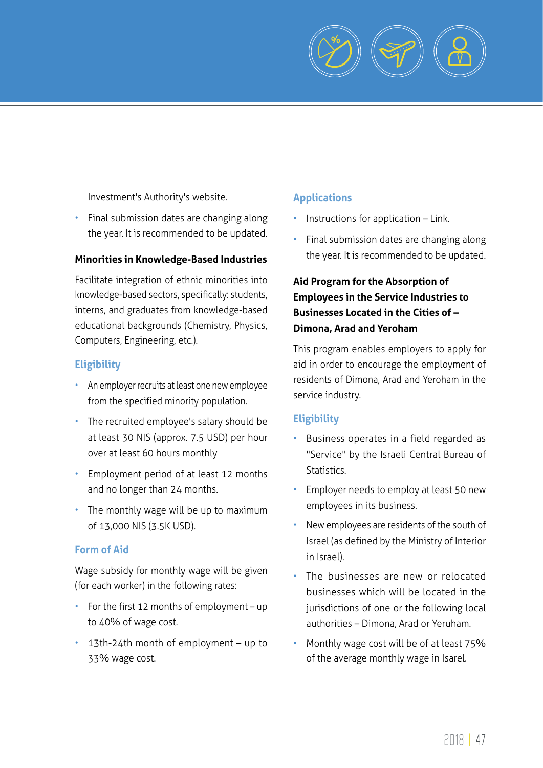

Investment's Authority's website.

• Final submission dates are changing along the year. It is recommended to be updated.

#### **Minorities in Knowledge-Based Industries**

Facilitate integration of ethnic minorities into knowledge-based sectors, specifically: students, interns, and graduates from knowledge-based educational backgrounds (Chemistry, Physics, Computers, Engineering, etc.).

#### **Eligibility**

- An employer recruits at least one new employee from the specified minority population.
- The recruited employee's salary should be at least 30 NIS (approx. 7.5 USD) per hour over at least 60 hours monthly
- Employment period of at least 12 months and no longer than 24 months.
- The monthly wage will be up to maximum of 13,000 NIS (3.5K USD).

#### **Form of Aid**

Wage subsidy for monthly wage will be given (for each worker) in the following rates:

- For the first 12 months of employment up to 40% of wage cost.
- 13th-24th month of employment up to 33% wage cost.

#### **Applications**

- Instructions for application Link.
- Final submission dates are changing along the year. It is recommended to be updated.

# **Aid Program for the Absorption of Employees in the Service Industries to Businesses Located in the Cities of – Dimona, Arad and Yeroham**

This program enables employers to apply for aid in order to encourage the employment of residents of Dimona, Arad and Yeroham in the service industry.

#### **Eligibility**

- Business operates in a field regarded as "Service" by the Israeli Central Bureau of Statistics.
- Employer needs to employ at least 50 new employees in its business.
- New employees are residents of the south of Israel (as defined by the Ministry of Interior in Israel).
- The businesses are new or relocated businesses which will be located in the jurisdictions of one or the following local authorities – Dimona, Arad or Yeruham.
- Monthly wage cost will be of at least 75% of the average monthly wage in Isarel.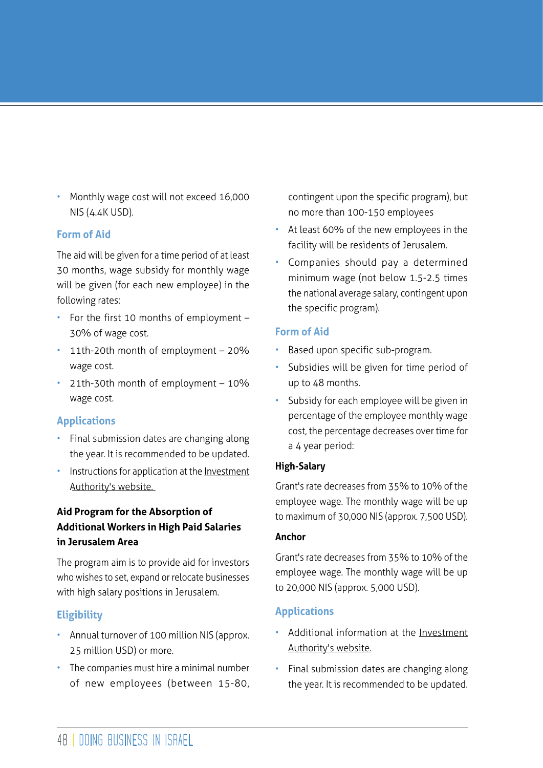• Monthly wage cost will not exceed 16,000 NIS (4.4K USD).

#### **Form of Aid**

The aid will be given for a time period of at least 30 months, wage subsidy for monthly wage will be given (for each new employee) in the following rates:

- For the first 10 months of employment 30% of wage cost.
- 11th-20th month of employment 20% wage cost.
- 21th-30th month of employment 10% wage cost.

## **Applications**

- Final submission dates are changing along the year. It is recommended to be updated.
- Instructions for application at the Investment Authority's website.

## **Aid Program for the Absorption of Additional Workers in High Paid Salaries in Jerusalem Area**

The program aim is to provide aid for investors who wishes to set, expand or relocate businesses with high salary positions in Jerusalem.

# **Eligibility**

- Annual turnover of 100 million NIS (approx. 25 million USD) or more.
- The companies must hire a minimal number of new employees (between 15-80,

contingent upon the specific program), but no more than 100-150 employees

- At least 60% of the new employees in the facility will be residents of Jerusalem.
- Companies should pay a determined minimum wage (not below 1.5-2.5 times the national average salary, contingent upon the specific program).

#### **Form of Aid**

- Based upon specific sub-program.
- Subsidies will be given for time period of up to 48 months.
- Subsidy for each employee will be given in percentage of the employee monthly wage cost, the percentage decreases over time for a 4 year period:

#### **High-Salary**

Grant's rate decreases from 35% to 10% of the employee wage. The monthly wage will be up to maximum of 30,000 NIS (approx. 7,500 USD).

#### **Anchor**

Grant's rate decreases from 35% to 10% of the employee wage. The monthly wage will be up to 20,000 NIS (approx. 5,000 USD).

# **Applications**

- Additional information at the Investment Authority's website.
- Final submission dates are changing along the year. It is recommended to be updated.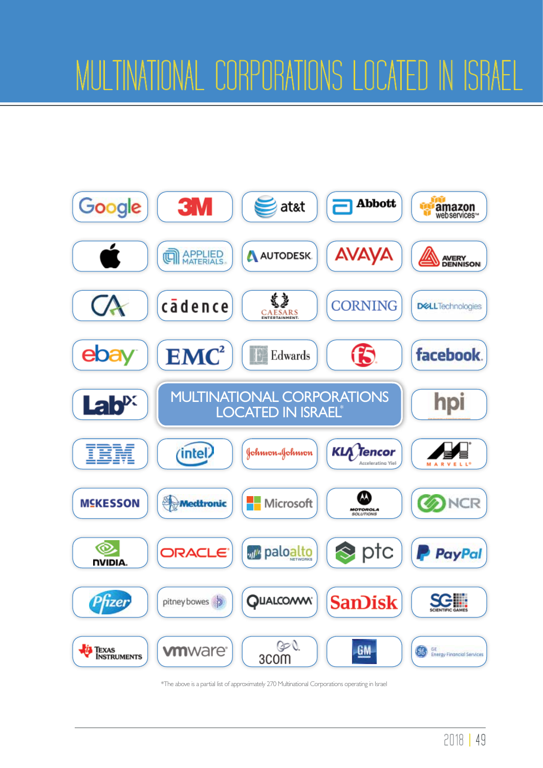

\*The above is a partial list of approximately 270 Multinational Corporations operating in Israel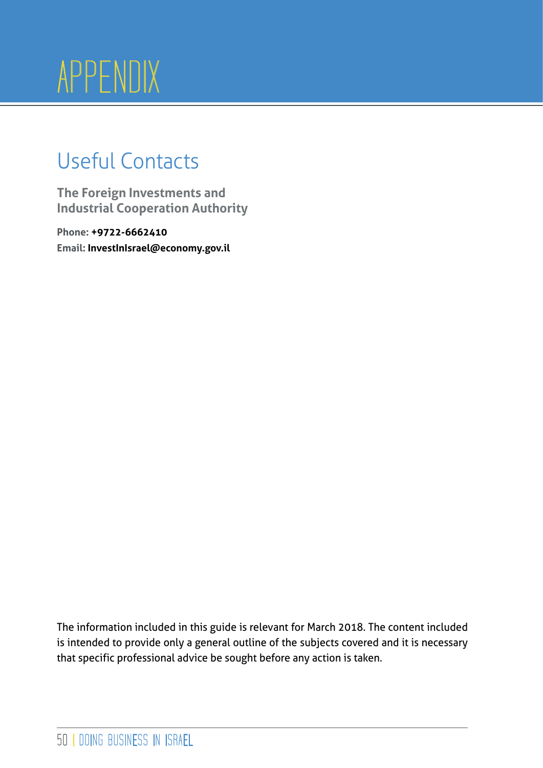# APPENDIX

# Useful Contacts

**The Foreign Investments and Industrial Cooperation Authority**

**Phone: +9722-6662410 Email: InvestInIsrael@economy.gov.il**

The information included in this guide is relevant for March 2018. The content included is intended to provide only a general outline of the subjects covered and it is necessary that specific professional advice be sought before any action is taken.